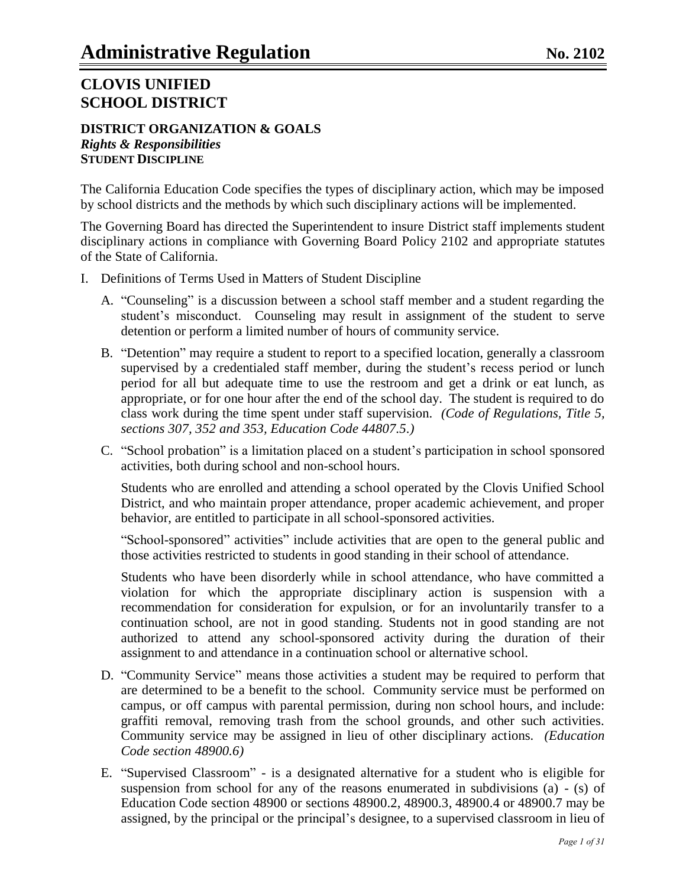#### **DISTRICT ORGANIZATION & GOALS** *Rights & Responsibilities* **STUDENT DISCIPLINE**

The California Education Code specifies the types of disciplinary action, which may be imposed by school districts and the methods by which such disciplinary actions will be implemented.

The Governing Board has directed the Superintendent to insure District staff implements student disciplinary actions in compliance with Governing Board Policy 2102 and appropriate statutes of the State of California.

- I. Definitions of Terms Used in Matters of Student Discipline
	- A. "Counseling" is a discussion between a school staff member and a student regarding the student"s misconduct. Counseling may result in assignment of the student to serve detention or perform a limited number of hours of community service.
	- B. "Detention" may require a student to report to a specified location, generally a classroom supervised by a credentialed staff member, during the student's recess period or lunch period for all but adequate time to use the restroom and get a drink or eat lunch, as appropriate, or for one hour after the end of the school day. The student is required to do class work during the time spent under staff supervision. *(Code of Regulations, Title 5, sections 307, 352 and 353, Education Code 44807.5.)*
	- C. "School probation" is a limitation placed on a student"s participation in school sponsored activities, both during school and non-school hours.

Students who are enrolled and attending a school operated by the Clovis Unified School District, and who maintain proper attendance, proper academic achievement, and proper behavior, are entitled to participate in all school-sponsored activities.

"School-sponsored" activities" include activities that are open to the general public and those activities restricted to students in good standing in their school of attendance.

Students who have been disorderly while in school attendance, who have committed a violation for which the appropriate disciplinary action is suspension with a recommendation for consideration for expulsion, or for an involuntarily transfer to a continuation school, are not in good standing. Students not in good standing are not authorized to attend any school-sponsored activity during the duration of their assignment to and attendance in a continuation school or alternative school.

- D. "Community Service" means those activities a student may be required to perform that are determined to be a benefit to the school. Community service must be performed on campus, or off campus with parental permission, during non school hours, and include: graffiti removal, removing trash from the school grounds, and other such activities. Community service may be assigned in lieu of other disciplinary actions. *(Education Code section 48900.6)*
- E. "Supervised Classroom" is a designated alternative for a student who is eligible for suspension from school for any of the reasons enumerated in subdivisions (a) - (s) of Education Code section 48900 or sections 48900.2, 48900.3, 48900.4 or 48900.7 may be assigned, by the principal or the principal"s designee, to a supervised classroom in lieu of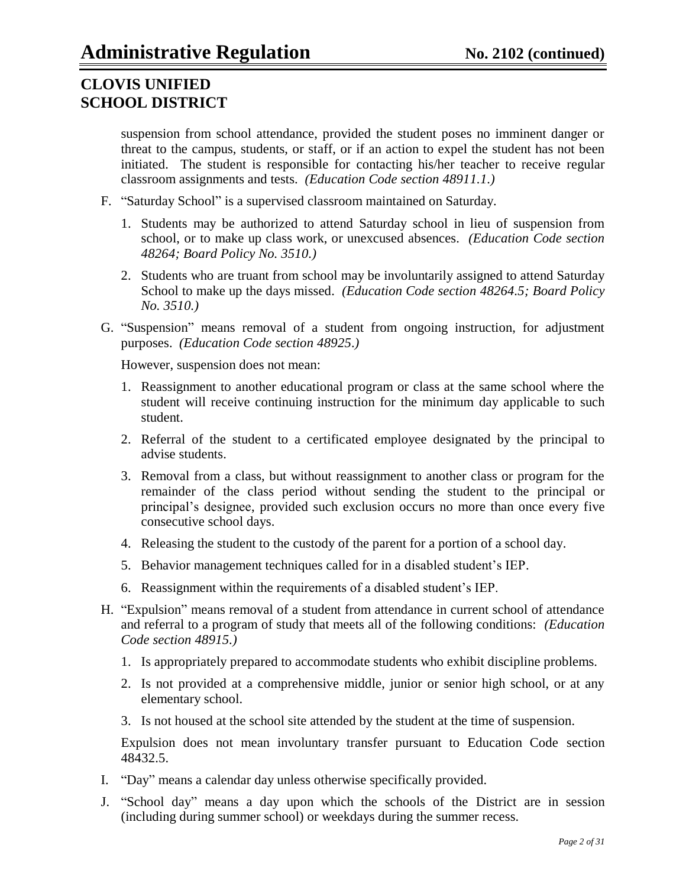suspension from school attendance, provided the student poses no imminent danger or threat to the campus, students, or staff, or if an action to expel the student has not been initiated. The student is responsible for contacting his/her teacher to receive regular classroom assignments and tests. *(Education Code section 48911.1.)*

- F. "Saturday School" is a supervised classroom maintained on Saturday.
	- 1. Students may be authorized to attend Saturday school in lieu of suspension from school, or to make up class work, or unexcused absences. *(Education Code section 48264; Board Policy No. 3510.)*
	- 2. Students who are truant from school may be involuntarily assigned to attend Saturday School to make up the days missed. *(Education Code section 48264.5; Board Policy No. 3510.)*
- G. "Suspension" means removal of a student from ongoing instruction, for adjustment purposes. *(Education Code section 48925*.*)*

However, suspension does not mean:

- 1. Reassignment to another educational program or class at the same school where the student will receive continuing instruction for the minimum day applicable to such student.
- 2. Referral of the student to a certificated employee designated by the principal to advise students.
- 3. Removal from a class, but without reassignment to another class or program for the remainder of the class period without sending the student to the principal or principal"s designee, provided such exclusion occurs no more than once every five consecutive school days.
- 4. Releasing the student to the custody of the parent for a portion of a school day.
- 5. Behavior management techniques called for in a disabled student"s IEP.
- 6. Reassignment within the requirements of a disabled student"s IEP.
- H. "Expulsion" means removal of a student from attendance in current school of attendance and referral to a program of study that meets all of the following conditions: *(Education Code section 48915.)*
	- 1. Is appropriately prepared to accommodate students who exhibit discipline problems.
	- 2. Is not provided at a comprehensive middle, junior or senior high school, or at any elementary school.
	- 3. Is not housed at the school site attended by the student at the time of suspension*.*

Expulsion does not mean involuntary transfer pursuant to Education Code section 48432.5.

- I. "Day" means a calendar day unless otherwise specifically provided.
- J. "School day" means a day upon which the schools of the District are in session (including during summer school) or weekdays during the summer recess.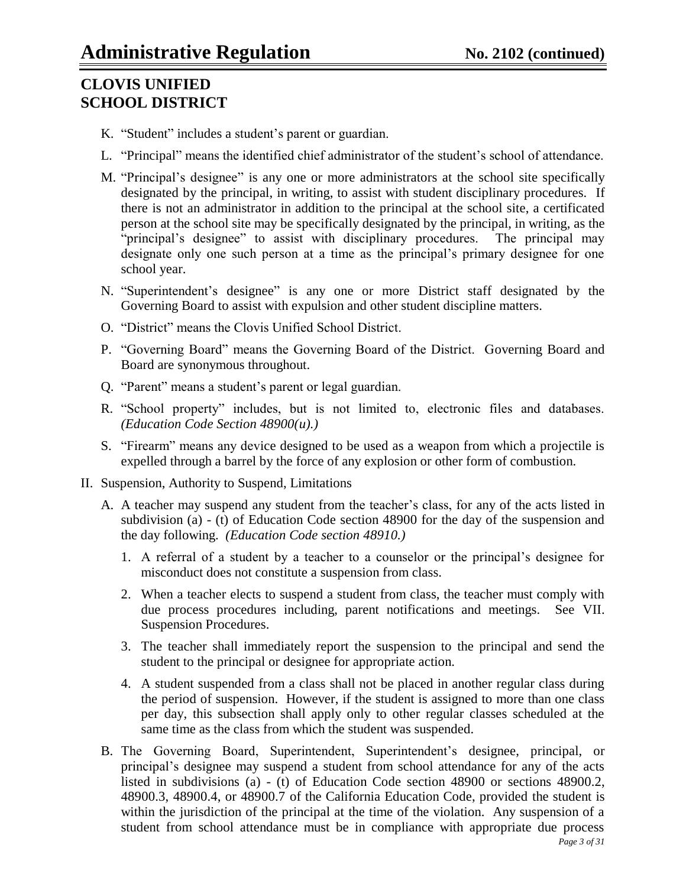- K. "Student" includes a student's parent or guardian.
- L. "Principal" means the identified chief administrator of the student's school of attendance.
- M. "Principal"s designee" is any one or more administrators at the school site specifically designated by the principal, in writing, to assist with student disciplinary procedures. If there is not an administrator in addition to the principal at the school site, a certificated person at the school site may be specifically designated by the principal, in writing, as the "principal"s designee" to assist with disciplinary procedures. The principal may designate only one such person at a time as the principal's primary designee for one school year.
- N. "Superintendent"s designee" is any one or more District staff designated by the Governing Board to assist with expulsion and other student discipline matters.
- O. "District" means the Clovis Unified School District.
- P. "Governing Board" means the Governing Board of the District. Governing Board and Board are synonymous throughout.
- Q. "Parent" means a student"s parent or legal guardian.
- R. "School property" includes, but is not limited to, electronic files and databases. *(Education Code Section 48900(u).)*
- S. "Firearm" means any device designed to be used as a weapon from which a projectile is expelled through a barrel by the force of any explosion or other form of combustion.
- II. Suspension, Authority to Suspend, Limitations
	- A. A teacher may suspend any student from the teacher's class, for any of the acts listed in subdivision (a) - (t) of Education Code section 48900 for the day of the suspension and the day following. *(Education Code section 48910.)*
		- 1. A referral of a student by a teacher to a counselor or the principal"s designee for misconduct does not constitute a suspension from class.
		- 2. When a teacher elects to suspend a student from class, the teacher must comply with due process procedures including, parent notifications and meetings. See VII. Suspension Procedures.
		- 3. The teacher shall immediately report the suspension to the principal and send the student to the principal or designee for appropriate action.
		- 4. A student suspended from a class shall not be placed in another regular class during the period of suspension. However, if the student is assigned to more than one class per day, this subsection shall apply only to other regular classes scheduled at the same time as the class from which the student was suspended.
	- B. The Governing Board, Superintendent, Superintendent's designee, principal, or principal"s designee may suspend a student from school attendance for any of the acts listed in subdivisions (a) - (t) of Education Code section 48900 or sections 48900.2, 48900.3, 48900.4, or 48900.7 of the California Education Code, provided the student is within the jurisdiction of the principal at the time of the violation. Any suspension of a student from school attendance must be in compliance with appropriate due process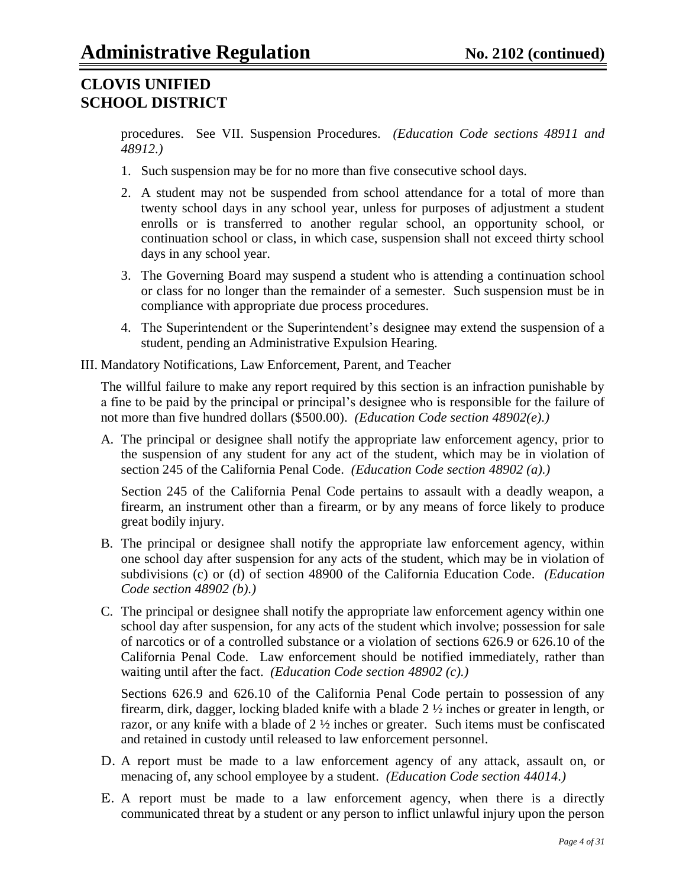procedures. See VII. Suspension Procedures. *(Education Code sections 48911 and 48912.)*

- 1. Such suspension may be for no more than five consecutive school days.
- 2. A student may not be suspended from school attendance for a total of more than twenty school days in any school year, unless for purposes of adjustment a student enrolls or is transferred to another regular school, an opportunity school, or continuation school or class, in which case, suspension shall not exceed thirty school days in any school year.
- 3. The Governing Board may suspend a student who is attending a continuation school or class for no longer than the remainder of a semester. Such suspension must be in compliance with appropriate due process procedures.
- 4. The Superintendent or the Superintendent"s designee may extend the suspension of a student, pending an Administrative Expulsion Hearing.
- III. Mandatory Notifications, Law Enforcement, Parent, and Teacher

The willful failure to make any report required by this section is an infraction punishable by a fine to be paid by the principal or principal's designee who is responsible for the failure of not more than five hundred dollars (\$500.00). *(Education Code section 48902(e).)*

A. The principal or designee shall notify the appropriate law enforcement agency, prior to the suspension of any student for any act of the student, which may be in violation of section 245 of the California Penal Code. *(Education Code section 48902 (a).)*

Section 245 of the California Penal Code pertains to assault with a deadly weapon, a firearm, an instrument other than a firearm, or by any means of force likely to produce great bodily injury.

- B. The principal or designee shall notify the appropriate law enforcement agency, within one school day after suspension for any acts of the student, which may be in violation of subdivisions (c) or (d) of section 48900 of the California Education Code. *(Education Code section 48902 (b).)*
- C. The principal or designee shall notify the appropriate law enforcement agency within one school day after suspension, for any acts of the student which involve; possession for sale of narcotics or of a controlled substance or a violation of sections 626.9 or 626.10 of the California Penal Code. Law enforcement should be notified immediately, rather than waiting until after the fact. *(Education Code section 48902 (c).)*

Sections 626.9 and 626.10 of the California Penal Code pertain to possession of any firearm, dirk, dagger, locking bladed knife with a blade 2 ½ inches or greater in length, or razor, or any knife with a blade of 2 ½ inches or greater. Such items must be confiscated and retained in custody until released to law enforcement personnel.

- D. A report must be made to a law enforcement agency of any attack, assault on, or menacing of, any school employee by a student. *(Education Code section 44014.)*
- E. A report must be made to a law enforcement agency, when there is a directly communicated threat by a student or any person to inflict unlawful injury upon the person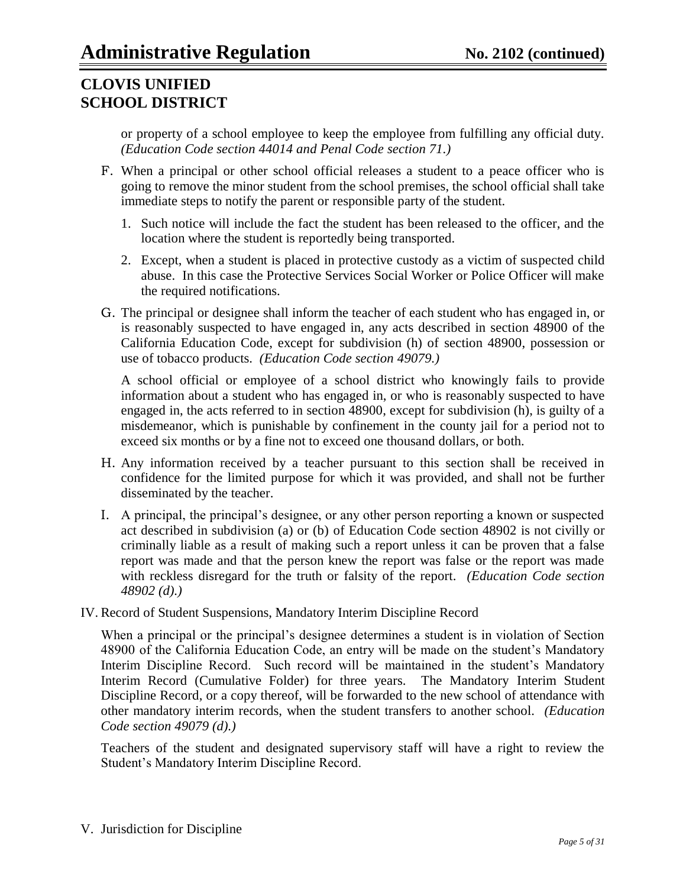or property of a school employee to keep the employee from fulfilling any official duty. *(Education Code section 44014 and Penal Code section 71.)*

- F. When a principal or other school official releases a student to a peace officer who is going to remove the minor student from the school premises, the school official shall take immediate steps to notify the parent or responsible party of the student.
	- 1. Such notice will include the fact the student has been released to the officer, and the location where the student is reportedly being transported.
	- 2. Except, when a student is placed in protective custody as a victim of suspected child abuse. In this case the Protective Services Social Worker or Police Officer will make the required notifications.
- G. The principal or designee shall inform the teacher of each student who has engaged in, or is reasonably suspected to have engaged in, any acts described in section 48900 of the California Education Code, except for subdivision (h) of section 48900, possession or use of tobacco products. *(Education Code section 49079.)*

A school official or employee of a school district who knowingly fails to provide information about a student who has engaged in, or who is reasonably suspected to have engaged in, the acts referred to in section 48900, except for subdivision (h), is guilty of a misdemeanor, which is punishable by confinement in the county jail for a period not to exceed six months or by a fine not to exceed one thousand dollars, or both.

- H. Any information received by a teacher pursuant to this section shall be received in confidence for the limited purpose for which it was provided, and shall not be further disseminated by the teacher.
- I. A principal, the principal"s designee, or any other person reporting a known or suspected act described in subdivision (a) or (b) of Education Code section 48902 is not civilly or criminally liable as a result of making such a report unless it can be proven that a false report was made and that the person knew the report was false or the report was made with reckless disregard for the truth or falsity of the report. *(Education Code section 48902 (d).)*
- IV. Record of Student Suspensions, Mandatory Interim Discipline Record

When a principal or the principal"s designee determines a student is in violation of Section 48900 of the California Education Code, an entry will be made on the student"s Mandatory Interim Discipline Record. Such record will be maintained in the student's Mandatory Interim Record (Cumulative Folder) for three years. The Mandatory Interim Student Discipline Record, or a copy thereof, will be forwarded to the new school of attendance with other mandatory interim records, when the student transfers to another school. *(Education Code section 49079 (d).)*

Teachers of the student and designated supervisory staff will have a right to review the Student"s Mandatory Interim Discipline Record.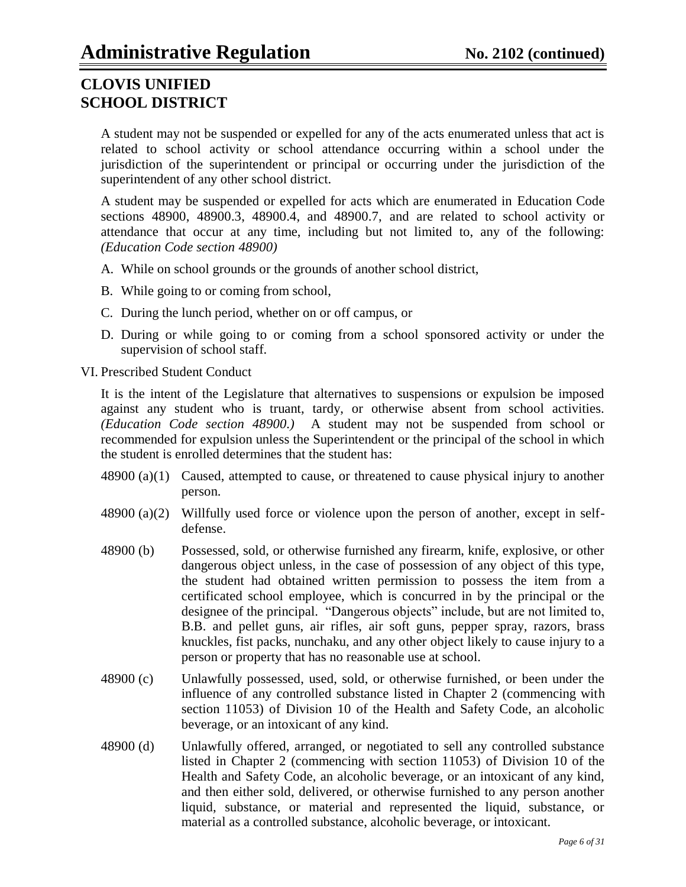A student may not be suspended or expelled for any of the acts enumerated unless that act is related to school activity or school attendance occurring within a school under the jurisdiction of the superintendent or principal or occurring under the jurisdiction of the superintendent of any other school district.

A student may be suspended or expelled for acts which are enumerated in Education Code sections 48900, 48900.3, 48900.4, and 48900.7, and are related to school activity or attendance that occur at any time, including but not limited to, any of the following: *(Education Code section 48900)*

- A. While on school grounds or the grounds of another school district,
- B. While going to or coming from school,
- C. During the lunch period, whether on or off campus, or
- D. During or while going to or coming from a school sponsored activity or under the supervision of school staff.
- VI. Prescribed Student Conduct

It is the intent of the Legislature that alternatives to suspensions or expulsion be imposed against any student who is truant, tardy, or otherwise absent from school activities. *(Education Code section 48900.)* A student may not be suspended from school or recommended for expulsion unless the Superintendent or the principal of the school in which the student is enrolled determines that the student has:

- $48900 (a)(1)$  Caused, attempted to cause, or threatened to cause physical injury to another person.
- 48900 (a)(2) Willfully used force or violence upon the person of another, except in selfdefense.
- 48900 (b) Possessed, sold, or otherwise furnished any firearm, knife, explosive, or other dangerous object unless, in the case of possession of any object of this type, the student had obtained written permission to possess the item from a certificated school employee, which is concurred in by the principal or the designee of the principal. "Dangerous objects" include, but are not limited to, B.B. and pellet guns, air rifles, air soft guns, pepper spray, razors, brass knuckles, fist packs, nunchaku, and any other object likely to cause injury to a person or property that has no reasonable use at school.
- 48900 (c) Unlawfully possessed, used, sold, or otherwise furnished, or been under the influence of any controlled substance listed in Chapter 2 (commencing with section 11053) of Division 10 of the Health and Safety Code, an alcoholic beverage, or an intoxicant of any kind.
- 48900 (d) Unlawfully offered, arranged, or negotiated to sell any controlled substance listed in Chapter 2 (commencing with section 11053) of Division 10 of the Health and Safety Code, an alcoholic beverage, or an intoxicant of any kind, and then either sold, delivered, or otherwise furnished to any person another liquid, substance, or material and represented the liquid, substance, or material as a controlled substance, alcoholic beverage, or intoxicant.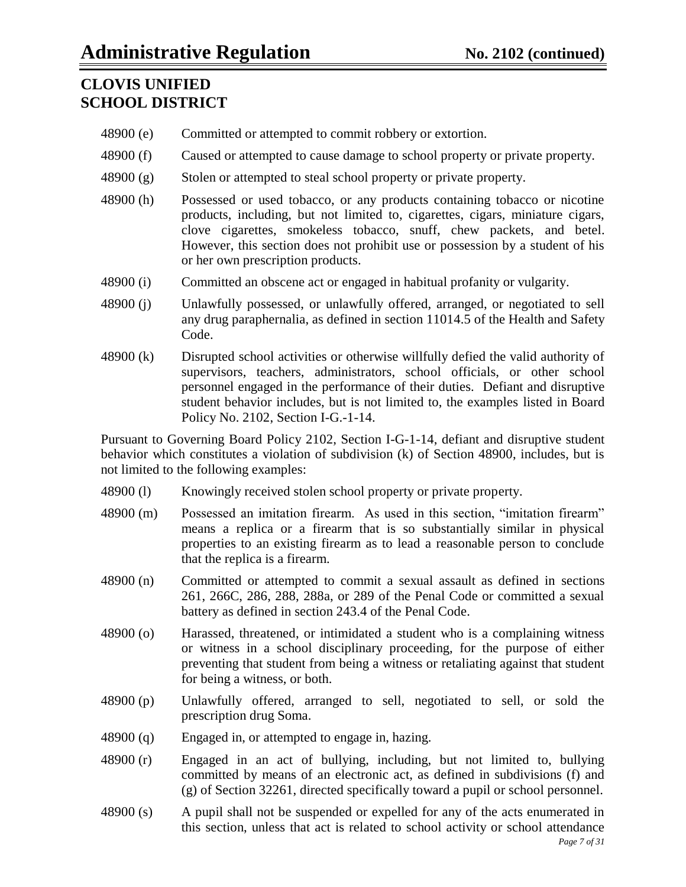- 48900 (e) Committed or attempted to commit robbery or extortion.
- 48900 (f) Caused or attempted to cause damage to school property or private property.
- 48900 (g) Stolen or attempted to steal school property or private property.
- 48900 (h) Possessed or used tobacco, or any products containing tobacco or nicotine products, including, but not limited to, cigarettes, cigars, miniature cigars, clove cigarettes, smokeless tobacco, snuff, chew packets, and betel. However, this section does not prohibit use or possession by a student of his or her own prescription products.
- 48900 (i) Committed an obscene act or engaged in habitual profanity or vulgarity.
- 48900 (j) Unlawfully possessed, or unlawfully offered, arranged, or negotiated to sell any drug paraphernalia, as defined in section 11014.5 of the Health and Safety Code.
- 48900 (k) Disrupted school activities or otherwise willfully defied the valid authority of supervisors, teachers, administrators, school officials, or other school personnel engaged in the performance of their duties. Defiant and disruptive student behavior includes, but is not limited to, the examples listed in Board Policy No. 2102, Section I-G.-1-14.

Pursuant to Governing Board Policy 2102, Section I-G-1-14, defiant and disruptive student behavior which constitutes a violation of subdivision (k) of Section 48900, includes, but is not limited to the following examples:

- 48900 (l) Knowingly received stolen school property or private property.
- 48900 (m) Possessed an imitation firearm. As used in this section, "imitation firearm" means a replica or a firearm that is so substantially similar in physical properties to an existing firearm as to lead a reasonable person to conclude that the replica is a firearm.
- 48900 (n) Committed or attempted to commit a sexual assault as defined in sections 261, 266C, 286, 288, 288a, or 289 of the Penal Code or committed a sexual battery as defined in section 243.4 of the Penal Code.
- 48900 (o) Harassed, threatened, or intimidated a student who is a complaining witness or witness in a school disciplinary proceeding, for the purpose of either preventing that student from being a witness or retaliating against that student for being a witness, or both.
- 48900 (p) Unlawfully offered, arranged to sell, negotiated to sell, or sold the prescription drug Soma.
- 48900 (q) Engaged in, or attempted to engage in, hazing.
- 48900 (r) Engaged in an act of bullying, including, but not limited to, bullying committed by means of an electronic act, as defined in subdivisions (f) and (g) of Section 32261, directed specifically toward a pupil or school personnel.
- 48900 (s) A pupil shall not be suspended or expelled for any of the acts enumerated in this section, unless that act is related to school activity or school attendance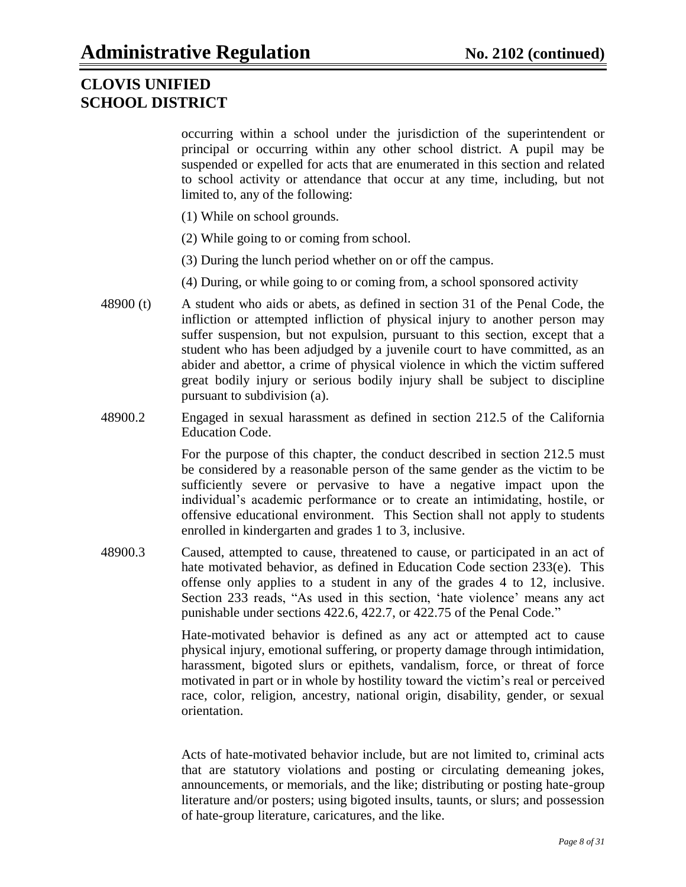occurring within a school under the jurisdiction of the superintendent or principal or occurring within any other school district. A pupil may be suspended or expelled for acts that are enumerated in this section and related to school activity or attendance that occur at any time, including, but not limited to, any of the following:

- (1) While on school grounds.
- (2) While going to or coming from school.
- (3) During the lunch period whether on or off the campus.
- (4) During, or while going to or coming from, a school sponsored activity
- 48900 (t) A student who aids or abets, as defined in section 31 of the Penal Code, the infliction or attempted infliction of physical injury to another person may suffer suspension, but not expulsion, pursuant to this section, except that a student who has been adjudged by a juvenile court to have committed, as an abider and abettor, a crime of physical violence in which the victim suffered great bodily injury or serious bodily injury shall be subject to discipline pursuant to subdivision (a).
- 48900.2 Engaged in sexual harassment as defined in section 212.5 of the California Education Code.

For the purpose of this chapter, the conduct described in section 212.5 must be considered by a reasonable person of the same gender as the victim to be sufficiently severe or pervasive to have a negative impact upon the individual"s academic performance or to create an intimidating, hostile, or offensive educational environment. This Section shall not apply to students enrolled in kindergarten and grades 1 to 3, inclusive.

48900.3 Caused, attempted to cause, threatened to cause, or participated in an act of hate motivated behavior, as defined in Education Code section 233(e). This offense only applies to a student in any of the grades 4 to 12, inclusive. Section 233 reads, "As used in this section, 'hate violence' means any act punishable under sections 422.6, 422.7, or 422.75 of the Penal Code."

> Hate-motivated behavior is defined as any act or attempted act to cause physical injury, emotional suffering, or property damage through intimidation, harassment, bigoted slurs or epithets, vandalism, force, or threat of force motivated in part or in whole by hostility toward the victim"s real or perceived race, color, religion, ancestry, national origin, disability, gender, or sexual orientation.

> Acts of hate-motivated behavior include, but are not limited to, criminal acts that are statutory violations and posting or circulating demeaning jokes, announcements, or memorials, and the like; distributing or posting hate-group literature and/or posters; using bigoted insults, taunts, or slurs; and possession of hate-group literature, caricatures, and the like.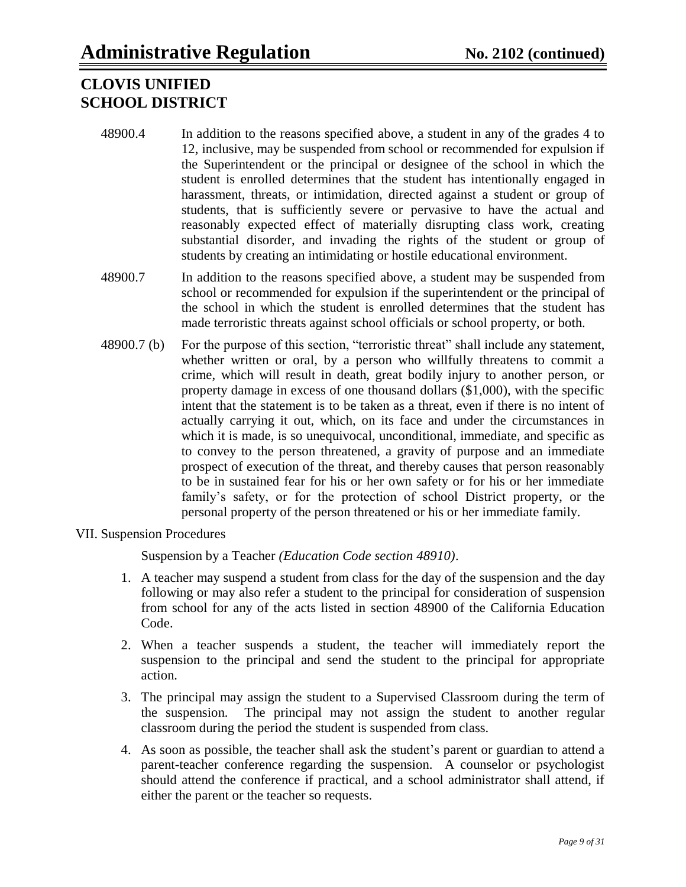- 48900.4 In addition to the reasons specified above, a student in any of the grades 4 to 12, inclusive, may be suspended from school or recommended for expulsion if the Superintendent or the principal or designee of the school in which the student is enrolled determines that the student has intentionally engaged in harassment, threats, or intimidation, directed against a student or group of students, that is sufficiently severe or pervasive to have the actual and reasonably expected effect of materially disrupting class work, creating substantial disorder, and invading the rights of the student or group of students by creating an intimidating or hostile educational environment.
- 48900.7 In addition to the reasons specified above, a student may be suspended from school or recommended for expulsion if the superintendent or the principal of the school in which the student is enrolled determines that the student has made terroristic threats against school officials or school property, or both.
- 48900.7 (b) For the purpose of this section, "terroristic threat" shall include any statement, whether written or oral, by a person who willfully threatens to commit a crime, which will result in death, great bodily injury to another person, or property damage in excess of one thousand dollars (\$1,000), with the specific intent that the statement is to be taken as a threat, even if there is no intent of actually carrying it out, which, on its face and under the circumstances in which it is made, is so unequivocal, unconditional, immediate, and specific as to convey to the person threatened, a gravity of purpose and an immediate prospect of execution of the threat, and thereby causes that person reasonably to be in sustained fear for his or her own safety or for his or her immediate family"s safety, or for the protection of school District property, or the personal property of the person threatened or his or her immediate family.
- VII. Suspension Procedures

Suspension by a Teacher *(Education Code section 48910)*.

- 1. A teacher may suspend a student from class for the day of the suspension and the day following or may also refer a student to the principal for consideration of suspension from school for any of the acts listed in section 48900 of the California Education Code.
- 2. When a teacher suspends a student, the teacher will immediately report the suspension to the principal and send the student to the principal for appropriate action.
- 3. The principal may assign the student to a Supervised Classroom during the term of the suspension. The principal may not assign the student to another regular classroom during the period the student is suspended from class.
- 4. As soon as possible, the teacher shall ask the student"s parent or guardian to attend a parent-teacher conference regarding the suspension. A counselor or psychologist should attend the conference if practical, and a school administrator shall attend, if either the parent or the teacher so requests.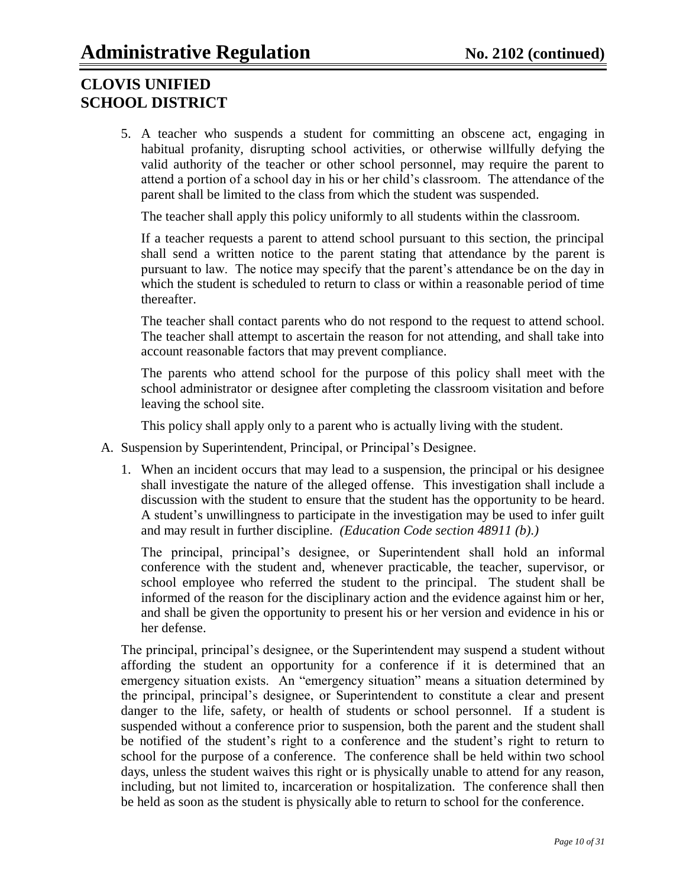5. A teacher who suspends a student for committing an obscene act, engaging in habitual profanity, disrupting school activities, or otherwise willfully defying the valid authority of the teacher or other school personnel, may require the parent to attend a portion of a school day in his or her child"s classroom. The attendance of the parent shall be limited to the class from which the student was suspended.

The teacher shall apply this policy uniformly to all students within the classroom.

If a teacher requests a parent to attend school pursuant to this section, the principal shall send a written notice to the parent stating that attendance by the parent is pursuant to law. The notice may specify that the parent"s attendance be on the day in which the student is scheduled to return to class or within a reasonable period of time thereafter.

The teacher shall contact parents who do not respond to the request to attend school. The teacher shall attempt to ascertain the reason for not attending, and shall take into account reasonable factors that may prevent compliance.

The parents who attend school for the purpose of this policy shall meet with the school administrator or designee after completing the classroom visitation and before leaving the school site.

This policy shall apply only to a parent who is actually living with the student.

- A. Suspension by Superintendent, Principal, or Principal"s Designee.
	- 1. When an incident occurs that may lead to a suspension, the principal or his designee shall investigate the nature of the alleged offense. This investigation shall include a discussion with the student to ensure that the student has the opportunity to be heard. A student"s unwillingness to participate in the investigation may be used to infer guilt and may result in further discipline. *(Education Code section 48911 (b).)*

The principal, principal"s designee, or Superintendent shall hold an informal conference with the student and, whenever practicable, the teacher, supervisor, or school employee who referred the student to the principal. The student shall be informed of the reason for the disciplinary action and the evidence against him or her, and shall be given the opportunity to present his or her version and evidence in his or her defense.

The principal, principal's designee, or the Superintendent may suspend a student without affording the student an opportunity for a conference if it is determined that an emergency situation exists. An "emergency situation" means a situation determined by the principal, principal"s designee, or Superintendent to constitute a clear and present danger to the life, safety, or health of students or school personnel. If a student is suspended without a conference prior to suspension, both the parent and the student shall be notified of the student's right to a conference and the student's right to return to school for the purpose of a conference. The conference shall be held within two school days, unless the student waives this right or is physically unable to attend for any reason, including, but not limited to, incarceration or hospitalization. The conference shall then be held as soon as the student is physically able to return to school for the conference.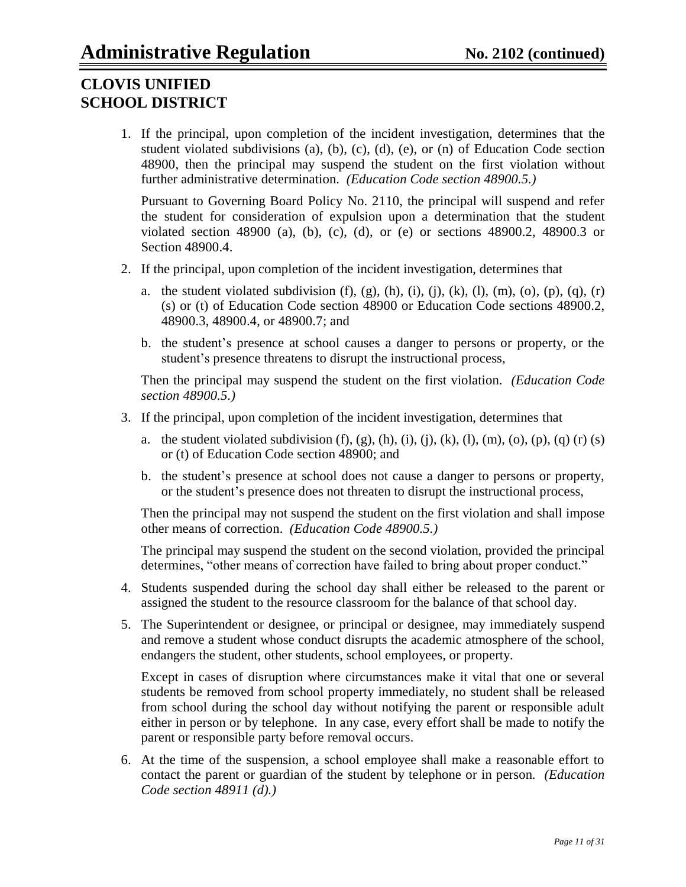1. If the principal, upon completion of the incident investigation, determines that the student violated subdivisions (a), (b), (c), (d), (e), or (n) of Education Code section 48900, then the principal may suspend the student on the first violation without further administrative determination. *(Education Code section 48900.5.)*

Pursuant to Governing Board Policy No. 2110, the principal will suspend and refer the student for consideration of expulsion upon a determination that the student violated section 48900 (a), (b), (c), (d), or (e) or sections 48900.2, 48900.3 or Section 48900.4.

- 2. If the principal, upon completion of the incident investigation, determines that
	- a. the student violated subdivision  $(f)$ ,  $(g)$ ,  $(h)$ ,  $(i)$ ,  $(i)$ ,  $(k)$ ,  $(l)$ ,  $(m)$ ,  $(o)$ ,  $(p)$ ,  $(q)$ ,  $(r)$ (s) or (t) of Education Code section 48900 or Education Code sections 48900.2, 48900.3, 48900.4, or 48900.7; and
	- b. the student"s presence at school causes a danger to persons or property, or the student's presence threatens to disrupt the instructional process,

Then the principal may suspend the student on the first violation. *(Education Code section 48900.5.)*

- 3. If the principal, upon completion of the incident investigation, determines that
	- a. the student violated subdivision  $(f)$ ,  $(g)$ ,  $(h)$ ,  $(i)$ ,  $(i)$ ,  $(k)$ ,  $(l)$ ,  $(m)$ ,  $(o)$ ,  $(p)$ ,  $(q)$   $(r)$   $(s)$ or (t) of Education Code section 48900; and
	- b. the student"s presence at school does not cause a danger to persons or property, or the student"s presence does not threaten to disrupt the instructional process,

Then the principal may not suspend the student on the first violation and shall impose other means of correction. *(Education Code 48900.5.)*

The principal may suspend the student on the second violation, provided the principal determines, "other means of correction have failed to bring about proper conduct."

- 4. Students suspended during the school day shall either be released to the parent or assigned the student to the resource classroom for the balance of that school day.
- 5. The Superintendent or designee, or principal or designee, may immediately suspend and remove a student whose conduct disrupts the academic atmosphere of the school, endangers the student, other students, school employees, or property.

Except in cases of disruption where circumstances make it vital that one or several students be removed from school property immediately, no student shall be released from school during the school day without notifying the parent or responsible adult either in person or by telephone. In any case, every effort shall be made to notify the parent or responsible party before removal occurs.

6. At the time of the suspension, a school employee shall make a reasonable effort to contact the parent or guardian of the student by telephone or in person. *(Education Code section 48911 (d).)*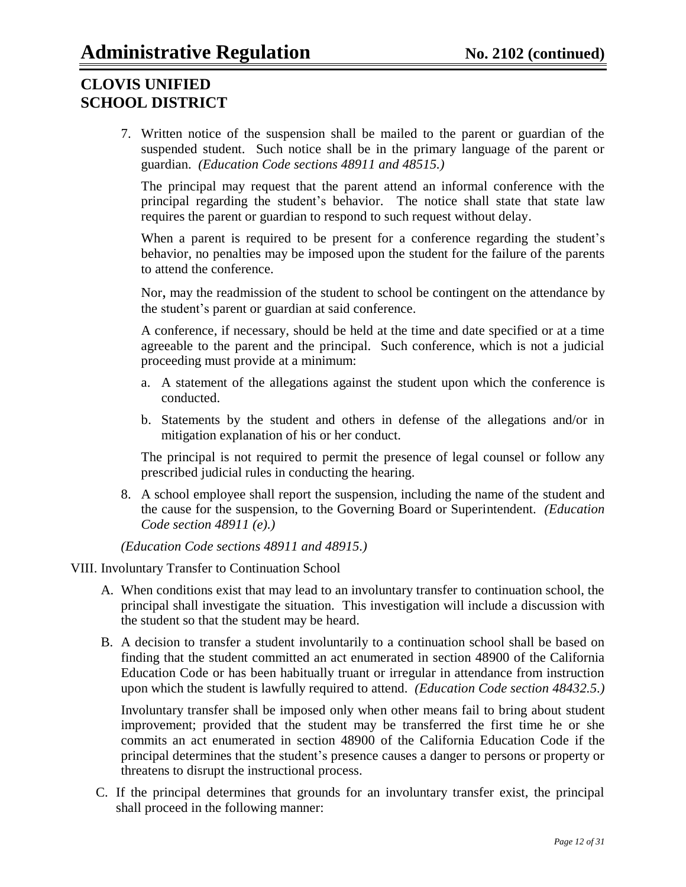7. Written notice of the suspension shall be mailed to the parent or guardian of the suspended student. Such notice shall be in the primary language of the parent or guardian. *(Education Code sections 48911 and 48515.)*

The principal may request that the parent attend an informal conference with the principal regarding the student"s behavior. The notice shall state that state law requires the parent or guardian to respond to such request without delay.

When a parent is required to be present for a conference regarding the student's behavior, no penalties may be imposed upon the student for the failure of the parents to attend the conference.

Nor, may the readmission of the student to school be contingent on the attendance by the student"s parent or guardian at said conference.

A conference, if necessary, should be held at the time and date specified or at a time agreeable to the parent and the principal. Such conference, which is not a judicial proceeding must provide at a minimum:

- a. A statement of the allegations against the student upon which the conference is conducted.
- b. Statements by the student and others in defense of the allegations and/or in mitigation explanation of his or her conduct.

The principal is not required to permit the presence of legal counsel or follow any prescribed judicial rules in conducting the hearing.

8. A school employee shall report the suspension, including the name of the student and the cause for the suspension, to the Governing Board or Superintendent. *(Education Code section 48911 (e).)*

*(Education Code sections 48911 and 48915.)*

#### VIII. Involuntary Transfer to Continuation School

- A. When conditions exist that may lead to an involuntary transfer to continuation school, the principal shall investigate the situation. This investigation will include a discussion with the student so that the student may be heard.
- B. A decision to transfer a student involuntarily to a continuation school shall be based on finding that the student committed an act enumerated in section 48900 of the California Education Code or has been habitually truant or irregular in attendance from instruction upon which the student is lawfully required to attend. *(Education Code section 48432.5.)*

Involuntary transfer shall be imposed only when other means fail to bring about student improvement; provided that the student may be transferred the first time he or she commits an act enumerated in section 48900 of the California Education Code if the principal determines that the student"s presence causes a danger to persons or property or threatens to disrupt the instructional process.

C. If the principal determines that grounds for an involuntary transfer exist, the principal shall proceed in the following manner: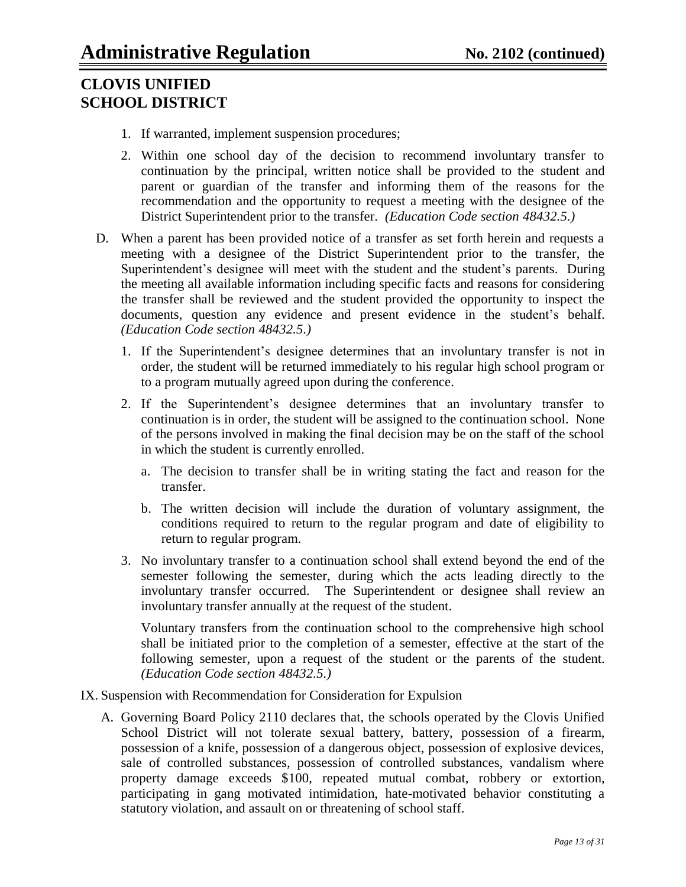- 1. If warranted, implement suspension procedures;
- 2. Within one school day of the decision to recommend involuntary transfer to continuation by the principal, written notice shall be provided to the student and parent or guardian of the transfer and informing them of the reasons for the recommendation and the opportunity to request a meeting with the designee of the District Superintendent prior to the transfer. *(Education Code section 48432.5.)*
- D. When a parent has been provided notice of a transfer as set forth herein and requests a meeting with a designee of the District Superintendent prior to the transfer, the Superintendent's designee will meet with the student and the student's parents. During the meeting all available information including specific facts and reasons for considering the transfer shall be reviewed and the student provided the opportunity to inspect the documents, question any evidence and present evidence in the student's behalf. *(Education Code section 48432.5.)*
	- 1. If the Superintendent"s designee determines that an involuntary transfer is not in order, the student will be returned immediately to his regular high school program or to a program mutually agreed upon during the conference.
	- 2. If the Superintendent"s designee determines that an involuntary transfer to continuation is in order, the student will be assigned to the continuation school. None of the persons involved in making the final decision may be on the staff of the school in which the student is currently enrolled.
		- a. The decision to transfer shall be in writing stating the fact and reason for the transfer.
		- b. The written decision will include the duration of voluntary assignment, the conditions required to return to the regular program and date of eligibility to return to regular program.
	- 3. No involuntary transfer to a continuation school shall extend beyond the end of the semester following the semester, during which the acts leading directly to the involuntary transfer occurred. The Superintendent or designee shall review an involuntary transfer annually at the request of the student.

Voluntary transfers from the continuation school to the comprehensive high school shall be initiated prior to the completion of a semester, effective at the start of the following semester, upon a request of the student or the parents of the student. *(Education Code section 48432.5.)*

- IX. Suspension with Recommendation for Consideration for Expulsion
	- A. Governing Board Policy 2110 declares that, the schools operated by the Clovis Unified School District will not tolerate sexual battery, battery, possession of a firearm, possession of a knife, possession of a dangerous object, possession of explosive devices, sale of controlled substances, possession of controlled substances, vandalism where property damage exceeds \$100, repeated mutual combat, robbery or extortion, participating in gang motivated intimidation, hate-motivated behavior constituting a statutory violation, and assault on or threatening of school staff.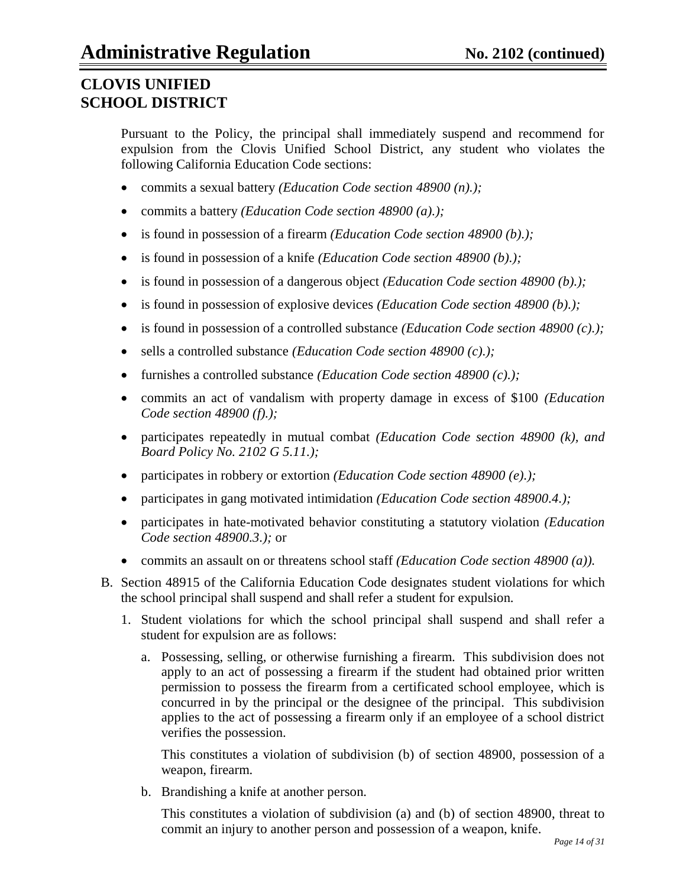Pursuant to the Policy, the principal shall immediately suspend and recommend for expulsion from the Clovis Unified School District, any student who violates the following California Education Code sections:

- commits a sexual battery *(Education Code section 48900 (n).);*
- commits a battery *(Education Code section 48900 (a).);*
- is found in possession of a firearm *(Education Code section 48900 (b).);*
- is found in possession of a knife *(Education Code section 48900 (b).);*
- is found in possession of a dangerous object *(Education Code section 48900 (b).);*
- is found in possession of explosive devices *(Education Code section 48900 (b).);*
- is found in possession of a controlled substance *(Education Code section 48900 (c).);*
- sells a controlled substance *(Education Code section 48900 (c).);*
- furnishes a controlled substance *(Education Code section 48900 (c).);*
- commits an act of vandalism with property damage in excess of \$100 *(Education Code section 48900 (f).);*
- participates repeatedly in mutual combat *(Education Code section 48900 (k), and Board Policy No. 2102 G 5.11.);*
- participates in robbery or extortion *(Education Code section 48900 (e).);*
- participates in gang motivated intimidation *(Education Code section 48900.4.);*
- participates in hate-motivated behavior constituting a statutory violation *(Education Code section 48900.3.);* or
- commits an assault on or threatens school staff *(Education Code section 48900 (a)).*
- B. Section 48915 of the California Education Code designates student violations for which the school principal shall suspend and shall refer a student for expulsion.
	- 1. Student violations for which the school principal shall suspend and shall refer a student for expulsion are as follows:
		- a. Possessing, selling, or otherwise furnishing a firearm. This subdivision does not apply to an act of possessing a firearm if the student had obtained prior written permission to possess the firearm from a certificated school employee, which is concurred in by the principal or the designee of the principal. This subdivision applies to the act of possessing a firearm only if an employee of a school district verifies the possession.

This constitutes a violation of subdivision (b) of section 48900, possession of a weapon, firearm.

b. Brandishing a knife at another person.

This constitutes a violation of subdivision (a) and (b) of section 48900, threat to commit an injury to another person and possession of a weapon, knife.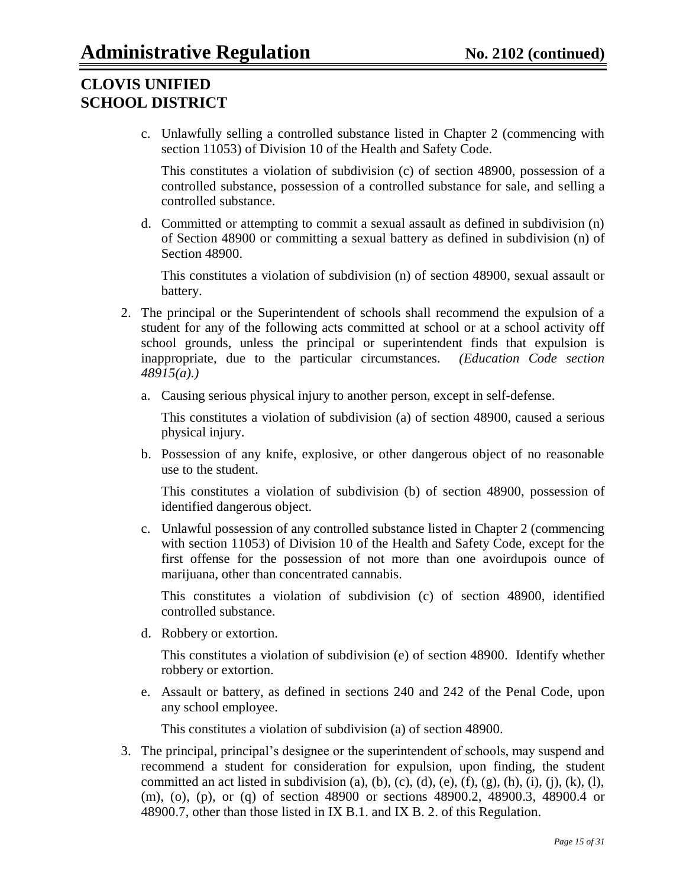c. Unlawfully selling a controlled substance listed in Chapter 2 (commencing with section 11053) of Division 10 of the Health and Safety Code.

This constitutes a violation of subdivision (c) of section 48900, possession of a controlled substance, possession of a controlled substance for sale, and selling a controlled substance.

d. Committed or attempting to commit a sexual assault as defined in subdivision (n) of Section 48900 or committing a sexual battery as defined in subdivision (n) of Section 48900.

This constitutes a violation of subdivision (n) of section 48900, sexual assault or battery.

- 2. The principal or the Superintendent of schools shall recommend the expulsion of a student for any of the following acts committed at school or at a school activity off school grounds, unless the principal or superintendent finds that expulsion is inappropriate, due to the particular circumstances. *(Education Code section 48915(a).)*
	- a. Causing serious physical injury to another person, except in self-defense.

This constitutes a violation of subdivision (a) of section 48900, caused a serious physical injury.

b. Possession of any knife, explosive, or other dangerous object of no reasonable use to the student.

This constitutes a violation of subdivision (b) of section 48900, possession of identified dangerous object.

c. Unlawful possession of any controlled substance listed in Chapter 2 (commencing with section 11053) of Division 10 of the Health and Safety Code, except for the first offense for the possession of not more than one avoirdupois ounce of marijuana, other than concentrated cannabis.

This constitutes a violation of subdivision (c) of section 48900, identified controlled substance.

d. Robbery or extortion.

This constitutes a violation of subdivision (e) of section 48900. Identify whether robbery or extortion.

e. Assault or battery, as defined in sections 240 and 242 of the Penal Code, upon any school employee.

This constitutes a violation of subdivision (a) of section 48900.

3. The principal, principal"s designee or the superintendent of schools, may suspend and recommend a student for consideration for expulsion, upon finding, the student committed an act listed in subdivision (a), (b), (c), (d), (e), (f), (g), (h), (i), (j), (k), (l), (m), (o), (p), or (q) of section 48900 or sections 48900.2, 48900.3, 48900.4 or 48900.7, other than those listed in IX B.1. and IX B. 2. of this Regulation.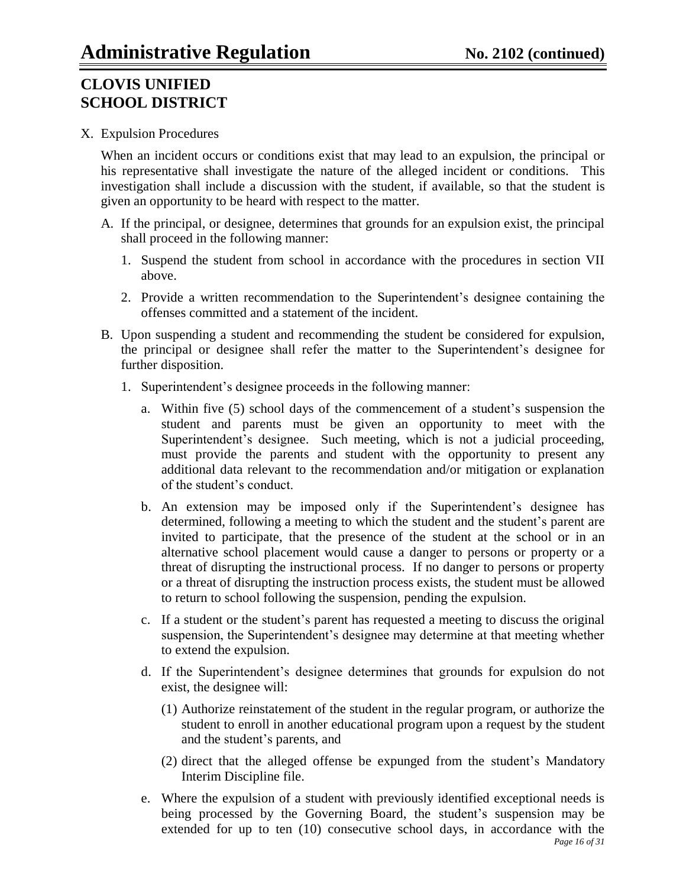### X. Expulsion Procedures

When an incident occurs or conditions exist that may lead to an expulsion, the principal or his representative shall investigate the nature of the alleged incident or conditions. This investigation shall include a discussion with the student, if available, so that the student is given an opportunity to be heard with respect to the matter.

- A. If the principal, or designee, determines that grounds for an expulsion exist, the principal shall proceed in the following manner:
	- 1. Suspend the student from school in accordance with the procedures in section VII above.
	- 2. Provide a written recommendation to the Superintendent"s designee containing the offenses committed and a statement of the incident.
- B. Upon suspending a student and recommending the student be considered for expulsion, the principal or designee shall refer the matter to the Superintendent"s designee for further disposition.
	- 1. Superintendent's designee proceeds in the following manner:
		- a. Within five (5) school days of the commencement of a student"s suspension the student and parents must be given an opportunity to meet with the Superintendent"s designee. Such meeting, which is not a judicial proceeding, must provide the parents and student with the opportunity to present any additional data relevant to the recommendation and/or mitigation or explanation of the student"s conduct.
		- b. An extension may be imposed only if the Superintendent"s designee has determined, following a meeting to which the student and the student's parent are invited to participate, that the presence of the student at the school or in an alternative school placement would cause a danger to persons or property or a threat of disrupting the instructional process. If no danger to persons or property or a threat of disrupting the instruction process exists, the student must be allowed to return to school following the suspension, pending the expulsion.
		- c. If a student or the student"s parent has requested a meeting to discuss the original suspension, the Superintendent's designee may determine at that meeting whether to extend the expulsion.
		- d. If the Superintendent"s designee determines that grounds for expulsion do not exist, the designee will:
			- (1) Authorize reinstatement of the student in the regular program, or authorize the student to enroll in another educational program upon a request by the student and the student"s parents, and
			- (2) direct that the alleged offense be expunged from the student"s Mandatory Interim Discipline file.
		- *Page 16 of 31* e. Where the expulsion of a student with previously identified exceptional needs is being processed by the Governing Board, the student's suspension may be extended for up to ten (10) consecutive school days, in accordance with the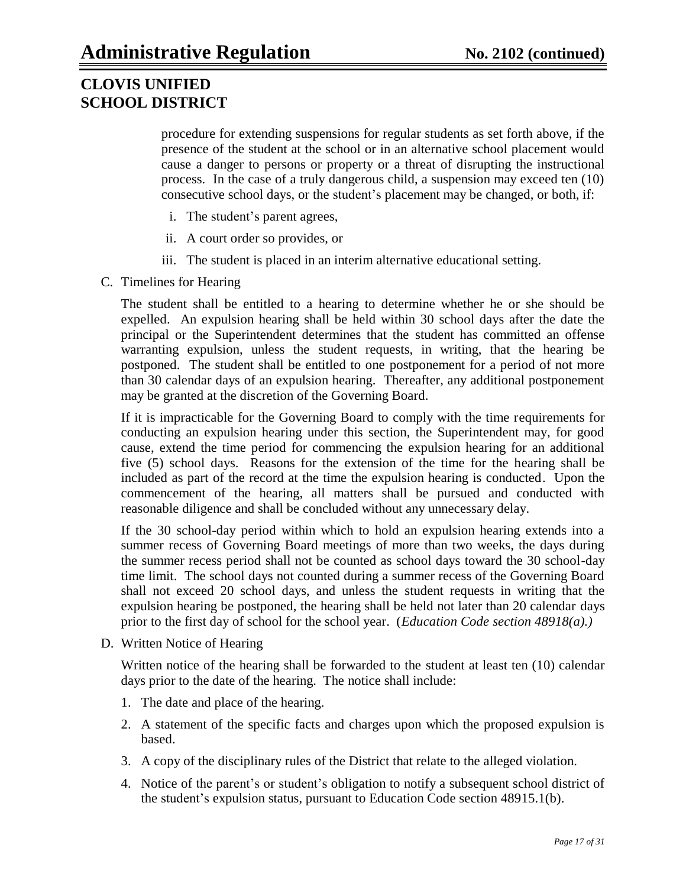procedure for extending suspensions for regular students as set forth above, if the presence of the student at the school or in an alternative school placement would cause a danger to persons or property or a threat of disrupting the instructional process. In the case of a truly dangerous child, a suspension may exceed ten (10) consecutive school days, or the student"s placement may be changed, or both, if:

- i. The student"s parent agrees,
- ii. A court order so provides, or
- iii. The student is placed in an interim alternative educational setting.
- C. Timelines for Hearing

The student shall be entitled to a hearing to determine whether he or she should be expelled. An expulsion hearing shall be held within 30 school days after the date the principal or the Superintendent determines that the student has committed an offense warranting expulsion, unless the student requests, in writing, that the hearing be postponed. The student shall be entitled to one postponement for a period of not more than 30 calendar days of an expulsion hearing. Thereafter, any additional postponement may be granted at the discretion of the Governing Board.

If it is impracticable for the Governing Board to comply with the time requirements for conducting an expulsion hearing under this section, the Superintendent may, for good cause, extend the time period for commencing the expulsion hearing for an additional five (5) school days. Reasons for the extension of the time for the hearing shall be included as part of the record at the time the expulsion hearing is conducted. Upon the commencement of the hearing, all matters shall be pursued and conducted with reasonable diligence and shall be concluded without any unnecessary delay.

If the 30 school-day period within which to hold an expulsion hearing extends into a summer recess of Governing Board meetings of more than two weeks, the days during the summer recess period shall not be counted as school days toward the 30 school-day time limit. The school days not counted during a summer recess of the Governing Board shall not exceed 20 school days, and unless the student requests in writing that the expulsion hearing be postponed, the hearing shall be held not later than 20 calendar days prior to the first day of school for the school year. (*Education Code section 48918(a).)*

D. Written Notice of Hearing

Written notice of the hearing shall be forwarded to the student at least ten (10) calendar days prior to the date of the hearing. The notice shall include:

- 1. The date and place of the hearing.
- 2. A statement of the specific facts and charges upon which the proposed expulsion is based.
- 3. A copy of the disciplinary rules of the District that relate to the alleged violation.
- 4. Notice of the parent"s or student"s obligation to notify a subsequent school district of the student"s expulsion status, pursuant to Education Code section 48915.1(b).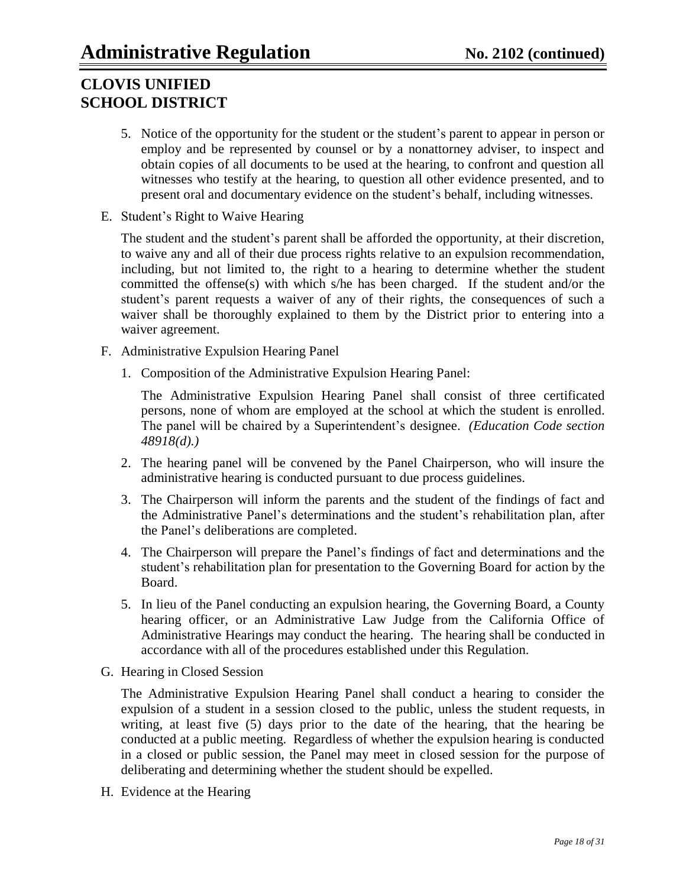- 5. Notice of the opportunity for the student or the student"s parent to appear in person or employ and be represented by counsel or by a nonattorney adviser, to inspect and obtain copies of all documents to be used at the hearing, to confront and question all witnesses who testify at the hearing, to question all other evidence presented, and to present oral and documentary evidence on the student"s behalf, including witnesses.
- E. Student"s Right to Waive Hearing

The student and the student's parent shall be afforded the opportunity, at their discretion, to waive any and all of their due process rights relative to an expulsion recommendation, including, but not limited to, the right to a hearing to determine whether the student committed the offense(s) with which s/he has been charged. If the student and/or the student"s parent requests a waiver of any of their rights, the consequences of such a waiver shall be thoroughly explained to them by the District prior to entering into a waiver agreement.

- F. Administrative Expulsion Hearing Panel
	- 1. Composition of the Administrative Expulsion Hearing Panel:

The Administrative Expulsion Hearing Panel shall consist of three certificated persons, none of whom are employed at the school at which the student is enrolled. The panel will be chaired by a Superintendent"s designee. *(Education Code section 48918(d).)*

- 2. The hearing panel will be convened by the Panel Chairperson, who will insure the administrative hearing is conducted pursuant to due process guidelines.
- 3. The Chairperson will inform the parents and the student of the findings of fact and the Administrative Panel"s determinations and the student"s rehabilitation plan, after the Panel"s deliberations are completed.
- 4. The Chairperson will prepare the Panel"s findings of fact and determinations and the student"s rehabilitation plan for presentation to the Governing Board for action by the Board.
- 5. In lieu of the Panel conducting an expulsion hearing, the Governing Board, a County hearing officer, or an Administrative Law Judge from the California Office of Administrative Hearings may conduct the hearing. The hearing shall be conducted in accordance with all of the procedures established under this Regulation.
- G. Hearing in Closed Session

The Administrative Expulsion Hearing Panel shall conduct a hearing to consider the expulsion of a student in a session closed to the public, unless the student requests, in writing, at least five (5) days prior to the date of the hearing, that the hearing be conducted at a public meeting. Regardless of whether the expulsion hearing is conducted in a closed or public session, the Panel may meet in closed session for the purpose of deliberating and determining whether the student should be expelled.

H. Evidence at the Hearing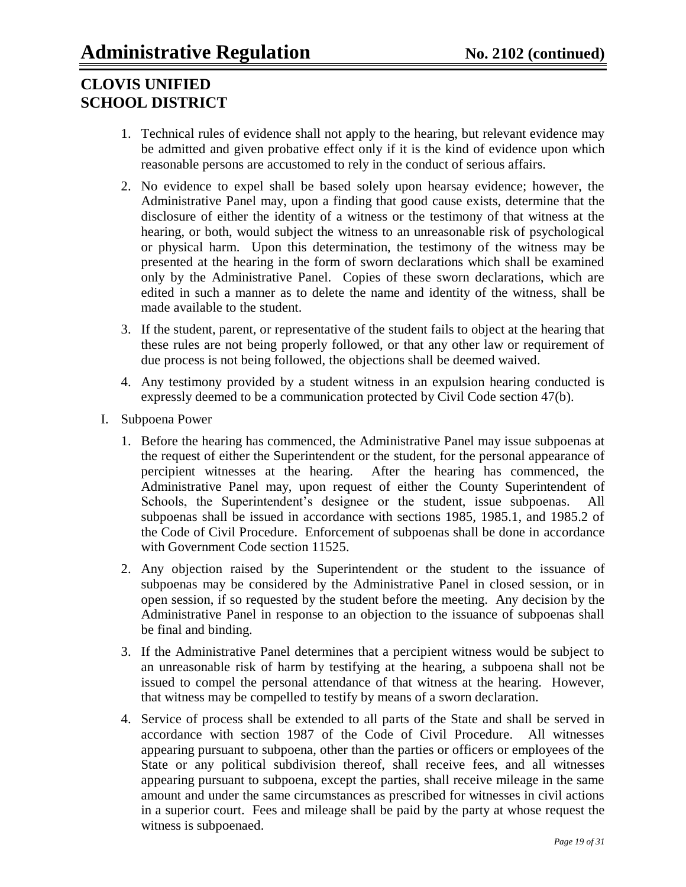- 1. Technical rules of evidence shall not apply to the hearing, but relevant evidence may be admitted and given probative effect only if it is the kind of evidence upon which reasonable persons are accustomed to rely in the conduct of serious affairs.
- 2. No evidence to expel shall be based solely upon hearsay evidence; however, the Administrative Panel may, upon a finding that good cause exists, determine that the disclosure of either the identity of a witness or the testimony of that witness at the hearing, or both, would subject the witness to an unreasonable risk of psychological or physical harm. Upon this determination, the testimony of the witness may be presented at the hearing in the form of sworn declarations which shall be examined only by the Administrative Panel. Copies of these sworn declarations, which are edited in such a manner as to delete the name and identity of the witness, shall be made available to the student.
- 3. If the student, parent, or representative of the student fails to object at the hearing that these rules are not being properly followed, or that any other law or requirement of due process is not being followed, the objections shall be deemed waived.
- 4. Any testimony provided by a student witness in an expulsion hearing conducted is expressly deemed to be a communication protected by Civil Code section 47(b).
- I. Subpoena Power
	- 1. Before the hearing has commenced, the Administrative Panel may issue subpoenas at the request of either the Superintendent or the student, for the personal appearance of percipient witnesses at the hearing. After the hearing has commenced, the Administrative Panel may, upon request of either the County Superintendent of Schools, the Superintendent's designee or the student, issue subpoenas. All subpoenas shall be issued in accordance with sections 1985, 1985.1, and 1985.2 of the Code of Civil Procedure. Enforcement of subpoenas shall be done in accordance with Government Code section 11525.
	- 2. Any objection raised by the Superintendent or the student to the issuance of subpoenas may be considered by the Administrative Panel in closed session, or in open session, if so requested by the student before the meeting. Any decision by the Administrative Panel in response to an objection to the issuance of subpoenas shall be final and binding.
	- 3. If the Administrative Panel determines that a percipient witness would be subject to an unreasonable risk of harm by testifying at the hearing, a subpoena shall not be issued to compel the personal attendance of that witness at the hearing. However, that witness may be compelled to testify by means of a sworn declaration.
	- 4. Service of process shall be extended to all parts of the State and shall be served in accordance with section 1987 of the Code of Civil Procedure. All witnesses appearing pursuant to subpoena, other than the parties or officers or employees of the State or any political subdivision thereof, shall receive fees, and all witnesses appearing pursuant to subpoena, except the parties, shall receive mileage in the same amount and under the same circumstances as prescribed for witnesses in civil actions in a superior court. Fees and mileage shall be paid by the party at whose request the witness is subpoenaed.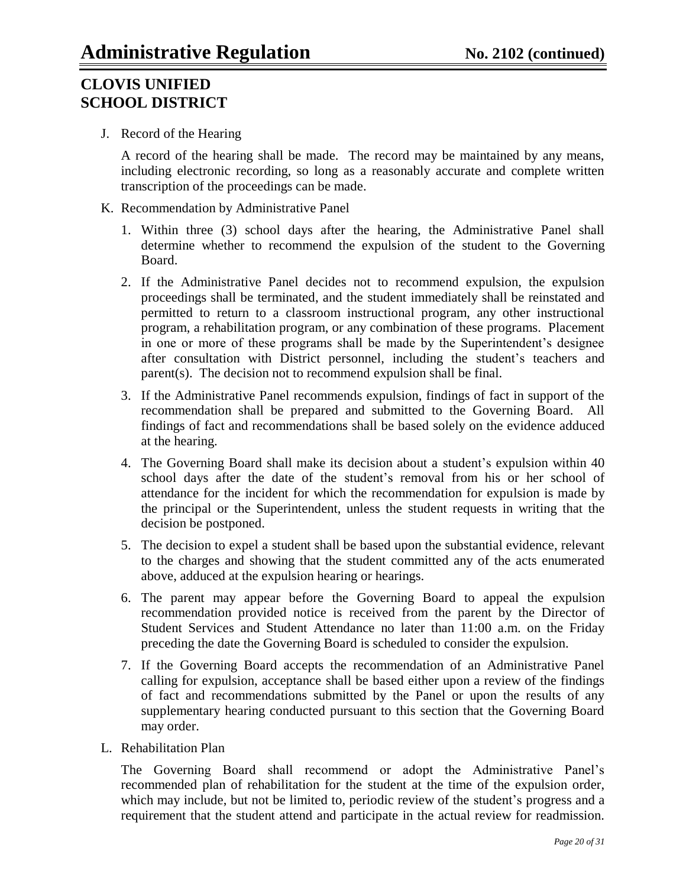J. Record of the Hearing

A record of the hearing shall be made. The record may be maintained by any means, including electronic recording, so long as a reasonably accurate and complete written transcription of the proceedings can be made.

- K. Recommendation by Administrative Panel
	- 1. Within three (3) school days after the hearing, the Administrative Panel shall determine whether to recommend the expulsion of the student to the Governing Board.
	- 2. If the Administrative Panel decides not to recommend expulsion, the expulsion proceedings shall be terminated, and the student immediately shall be reinstated and permitted to return to a classroom instructional program, any other instructional program, a rehabilitation program, or any combination of these programs. Placement in one or more of these programs shall be made by the Superintendent's designee after consultation with District personnel, including the student"s teachers and parent(s). The decision not to recommend expulsion shall be final.
	- 3. If the Administrative Panel recommends expulsion, findings of fact in support of the recommendation shall be prepared and submitted to the Governing Board. All findings of fact and recommendations shall be based solely on the evidence adduced at the hearing.
	- 4. The Governing Board shall make its decision about a student"s expulsion within 40 school days after the date of the student"s removal from his or her school of attendance for the incident for which the recommendation for expulsion is made by the principal or the Superintendent, unless the student requests in writing that the decision be postponed.
	- 5. The decision to expel a student shall be based upon the substantial evidence, relevant to the charges and showing that the student committed any of the acts enumerated above, adduced at the expulsion hearing or hearings.
	- 6. The parent may appear before the Governing Board to appeal the expulsion recommendation provided notice is received from the parent by the Director of Student Services and Student Attendance no later than 11:00 a.m. on the Friday preceding the date the Governing Board is scheduled to consider the expulsion.
	- 7. If the Governing Board accepts the recommendation of an Administrative Panel calling for expulsion, acceptance shall be based either upon a review of the findings of fact and recommendations submitted by the Panel or upon the results of any supplementary hearing conducted pursuant to this section that the Governing Board may order.
- L. Rehabilitation Plan

The Governing Board shall recommend or adopt the Administrative Panel"s recommended plan of rehabilitation for the student at the time of the expulsion order, which may include, but not be limited to, periodic review of the student's progress and a requirement that the student attend and participate in the actual review for readmission.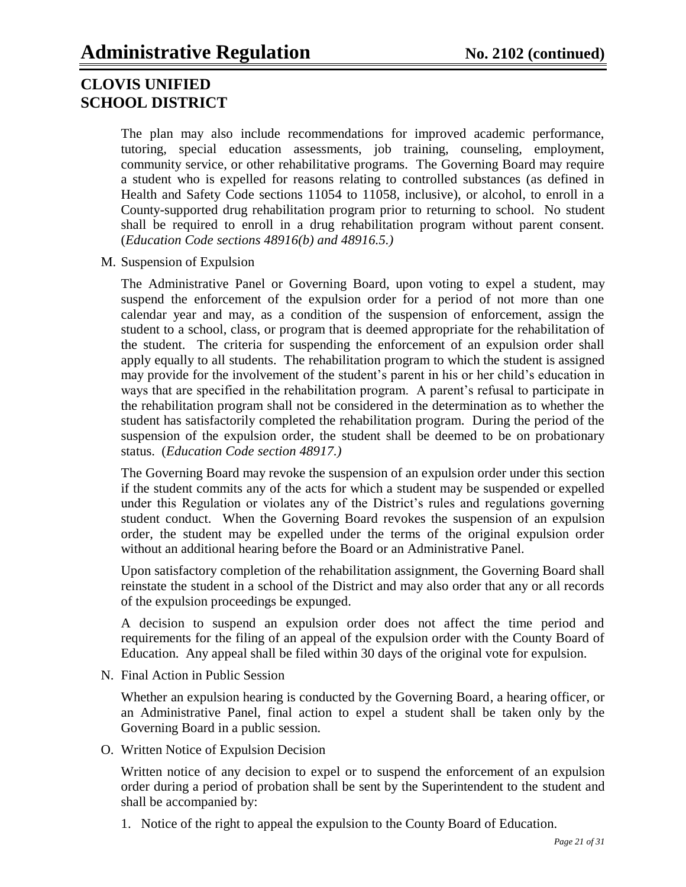The plan may also include recommendations for improved academic performance, tutoring, special education assessments, job training, counseling, employment, community service, or other rehabilitative programs. The Governing Board may require a student who is expelled for reasons relating to controlled substances (as defined in Health and Safety Code sections 11054 to 11058, inclusive), or alcohol, to enroll in a County-supported drug rehabilitation program prior to returning to school. No student shall be required to enroll in a drug rehabilitation program without parent consent. (*Education Code sections 48916(b) and 48916.5.)*

M. Suspension of Expulsion

The Administrative Panel or Governing Board, upon voting to expel a student, may suspend the enforcement of the expulsion order for a period of not more than one calendar year and may, as a condition of the suspension of enforcement, assign the student to a school, class, or program that is deemed appropriate for the rehabilitation of the student. The criteria for suspending the enforcement of an expulsion order shall apply equally to all students. The rehabilitation program to which the student is assigned may provide for the involvement of the student"s parent in his or her child"s education in ways that are specified in the rehabilitation program. A parent's refusal to participate in the rehabilitation program shall not be considered in the determination as to whether the student has satisfactorily completed the rehabilitation program. During the period of the suspension of the expulsion order, the student shall be deemed to be on probationary status. (*Education Code section 48917.)*

The Governing Board may revoke the suspension of an expulsion order under this section if the student commits any of the acts for which a student may be suspended or expelled under this Regulation or violates any of the District's rules and regulations governing student conduct. When the Governing Board revokes the suspension of an expulsion order, the student may be expelled under the terms of the original expulsion order without an additional hearing before the Board or an Administrative Panel.

Upon satisfactory completion of the rehabilitation assignment, the Governing Board shall reinstate the student in a school of the District and may also order that any or all records of the expulsion proceedings be expunged.

A decision to suspend an expulsion order does not affect the time period and requirements for the filing of an appeal of the expulsion order with the County Board of Education. Any appeal shall be filed within 30 days of the original vote for expulsion.

N. Final Action in Public Session

Whether an expulsion hearing is conducted by the Governing Board, a hearing officer, or an Administrative Panel, final action to expel a student shall be taken only by the Governing Board in a public session.

O. Written Notice of Expulsion Decision

Written notice of any decision to expel or to suspend the enforcement of an expulsion order during a period of probation shall be sent by the Superintendent to the student and shall be accompanied by:

1. Notice of the right to appeal the expulsion to the County Board of Education.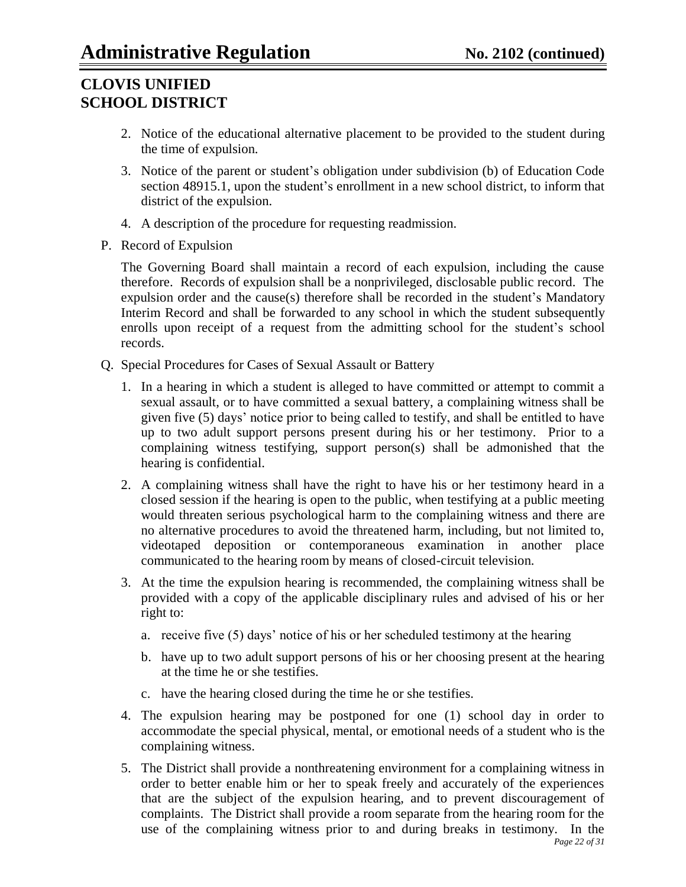- 2. Notice of the educational alternative placement to be provided to the student during the time of expulsion.
- 3. Notice of the parent or student"s obligation under subdivision (b) of Education Code section 48915.1, upon the student's enrollment in a new school district, to inform that district of the expulsion.
- 4. A description of the procedure for requesting readmission.
- P. Record of Expulsion

The Governing Board shall maintain a record of each expulsion, including the cause therefore. Records of expulsion shall be a nonprivileged, disclosable public record. The expulsion order and the cause(s) therefore shall be recorded in the student's Mandatory Interim Record and shall be forwarded to any school in which the student subsequently enrolls upon receipt of a request from the admitting school for the student's school records.

- Q. Special Procedures for Cases of Sexual Assault or Battery
	- 1. In a hearing in which a student is alleged to have committed or attempt to commit a sexual assault, or to have committed a sexual battery, a complaining witness shall be given five (5) days" notice prior to being called to testify, and shall be entitled to have up to two adult support persons present during his or her testimony. Prior to a complaining witness testifying, support person(s) shall be admonished that the hearing is confidential.
	- 2. A complaining witness shall have the right to have his or her testimony heard in a closed session if the hearing is open to the public, when testifying at a public meeting would threaten serious psychological harm to the complaining witness and there are no alternative procedures to avoid the threatened harm, including, but not limited to, videotaped deposition or contemporaneous examination in another place communicated to the hearing room by means of closed-circuit television.
	- 3. At the time the expulsion hearing is recommended, the complaining witness shall be provided with a copy of the applicable disciplinary rules and advised of his or her right to:
		- a. receive five (5) days" notice of his or her scheduled testimony at the hearing
		- b. have up to two adult support persons of his or her choosing present at the hearing at the time he or she testifies.
		- c. have the hearing closed during the time he or she testifies.
	- 4. The expulsion hearing may be postponed for one (1) school day in order to accommodate the special physical, mental, or emotional needs of a student who is the complaining witness.
	- *Page 22 of 31* 5. The District shall provide a nonthreatening environment for a complaining witness in order to better enable him or her to speak freely and accurately of the experiences that are the subject of the expulsion hearing, and to prevent discouragement of complaints. The District shall provide a room separate from the hearing room for the use of the complaining witness prior to and during breaks in testimony. In the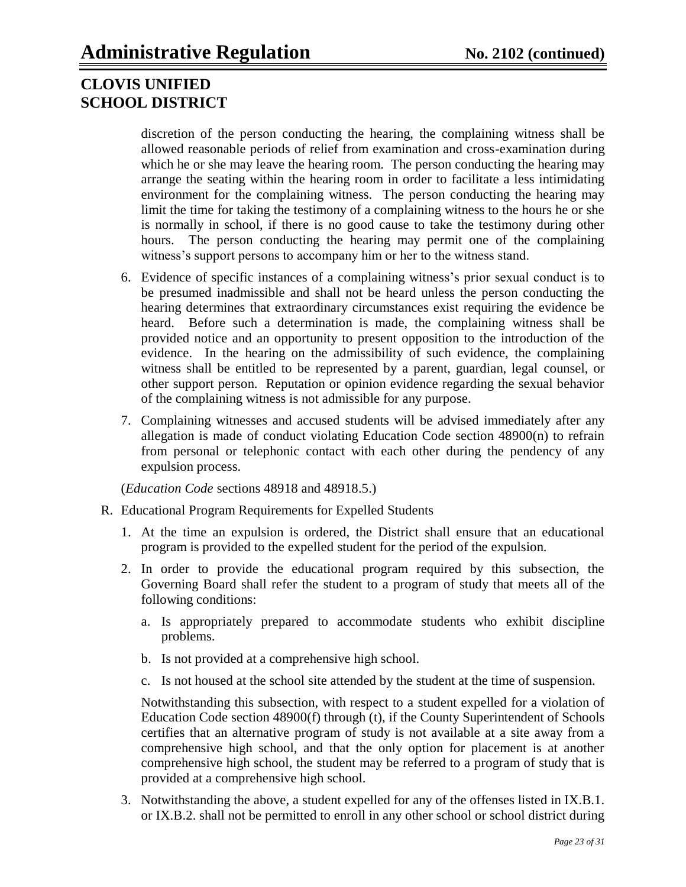discretion of the person conducting the hearing, the complaining witness shall be allowed reasonable periods of relief from examination and cross-examination during which he or she may leave the hearing room. The person conducting the hearing may arrange the seating within the hearing room in order to facilitate a less intimidating environment for the complaining witness. The person conducting the hearing may limit the time for taking the testimony of a complaining witness to the hours he or she is normally in school, if there is no good cause to take the testimony during other hours. The person conducting the hearing may permit one of the complaining witness's support persons to accompany him or her to the witness stand.

- 6. Evidence of specific instances of a complaining witness"s prior sexual conduct is to be presumed inadmissible and shall not be heard unless the person conducting the hearing determines that extraordinary circumstances exist requiring the evidence be heard. Before such a determination is made, the complaining witness shall be provided notice and an opportunity to present opposition to the introduction of the evidence. In the hearing on the admissibility of such evidence, the complaining witness shall be entitled to be represented by a parent, guardian, legal counsel, or other support person. Reputation or opinion evidence regarding the sexual behavior of the complaining witness is not admissible for any purpose.
- 7. Complaining witnesses and accused students will be advised immediately after any allegation is made of conduct violating Education Code section 48900(n) to refrain from personal or telephonic contact with each other during the pendency of any expulsion process.

(*Education Code* sections 48918 and 48918.5.)

- R. Educational Program Requirements for Expelled Students
	- 1. At the time an expulsion is ordered, the District shall ensure that an educational program is provided to the expelled student for the period of the expulsion.
	- 2. In order to provide the educational program required by this subsection, the Governing Board shall refer the student to a program of study that meets all of the following conditions:
		- a. Is appropriately prepared to accommodate students who exhibit discipline problems.
		- b. Is not provided at a comprehensive high school.
		- c. Is not housed at the school site attended by the student at the time of suspension.

Notwithstanding this subsection, with respect to a student expelled for a violation of Education Code section 48900(f) through (t), if the County Superintendent of Schools certifies that an alternative program of study is not available at a site away from a comprehensive high school, and that the only option for placement is at another comprehensive high school, the student may be referred to a program of study that is provided at a comprehensive high school.

3. Notwithstanding the above, a student expelled for any of the offenses listed in IX.B.1. or IX.B.2. shall not be permitted to enroll in any other school or school district during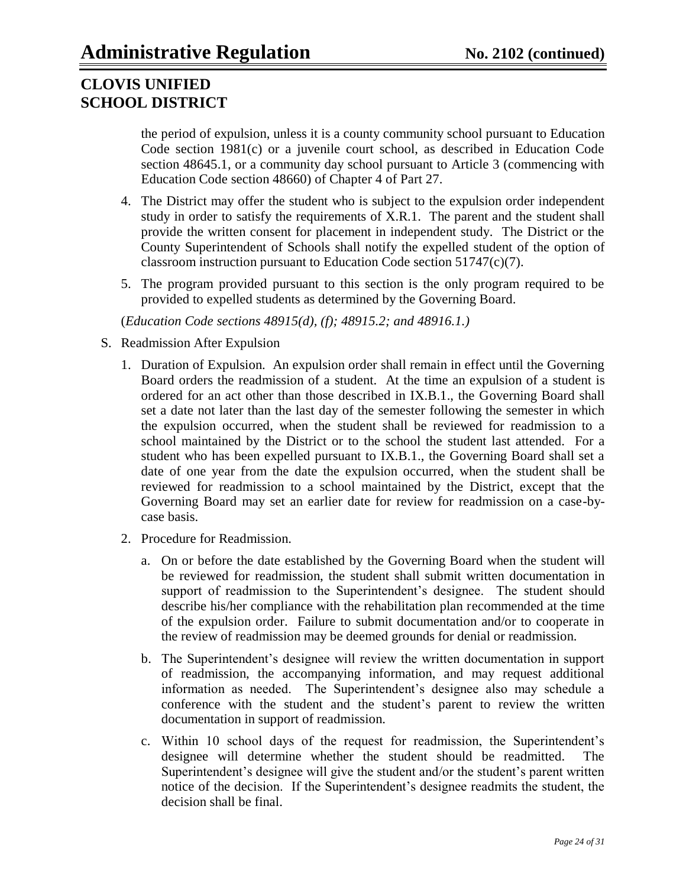the period of expulsion, unless it is a county community school pursuant to Education Code section 1981(c) or a juvenile court school, as described in Education Code section 48645.1, or a community day school pursuant to Article 3 (commencing with Education Code section 48660) of Chapter 4 of Part 27.

- 4. The District may offer the student who is subject to the expulsion order independent study in order to satisfy the requirements of X.R.1. The parent and the student shall provide the written consent for placement in independent study. The District or the County Superintendent of Schools shall notify the expelled student of the option of classroom instruction pursuant to Education Code section 51747(c)(7).
- 5. The program provided pursuant to this section is the only program required to be provided to expelled students as determined by the Governing Board.

(*Education Code sections 48915(d), (f); 48915.2; and 48916.1.)*

- S. Readmission After Expulsion
	- 1. Duration of Expulsion. An expulsion order shall remain in effect until the Governing Board orders the readmission of a student. At the time an expulsion of a student is ordered for an act other than those described in IX.B.1., the Governing Board shall set a date not later than the last day of the semester following the semester in which the expulsion occurred, when the student shall be reviewed for readmission to a school maintained by the District or to the school the student last attended. For a student who has been expelled pursuant to IX.B.1., the Governing Board shall set a date of one year from the date the expulsion occurred, when the student shall be reviewed for readmission to a school maintained by the District, except that the Governing Board may set an earlier date for review for readmission on a case-bycase basis.
	- 2. Procedure for Readmission.
		- a. On or before the date established by the Governing Board when the student will be reviewed for readmission, the student shall submit written documentation in support of readmission to the Superintendent's designee. The student should describe his/her compliance with the rehabilitation plan recommended at the time of the expulsion order. Failure to submit documentation and/or to cooperate in the review of readmission may be deemed grounds for denial or readmission.
		- b. The Superintendent"s designee will review the written documentation in support of readmission, the accompanying information, and may request additional information as needed. The Superintendent's designee also may schedule a conference with the student and the student"s parent to review the written documentation in support of readmission.
		- c. Within 10 school days of the request for readmission, the Superintendent"s designee will determine whether the student should be readmitted. The Superintendent's designee will give the student and/or the student's parent written notice of the decision. If the Superintendent"s designee readmits the student, the decision shall be final.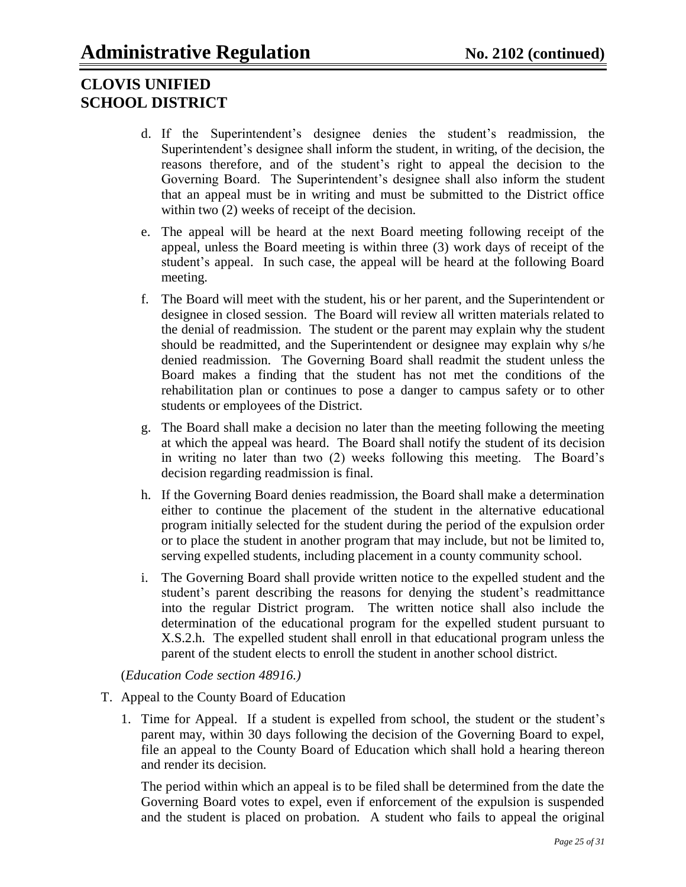- d. If the Superintendent"s designee denies the student"s readmission, the Superintendent"s designee shall inform the student, in writing, of the decision, the reasons therefore, and of the student"s right to appeal the decision to the Governing Board. The Superintendent"s designee shall also inform the student that an appeal must be in writing and must be submitted to the District office within two  $(2)$  weeks of receipt of the decision.
- e. The appeal will be heard at the next Board meeting following receipt of the appeal, unless the Board meeting is within three (3) work days of receipt of the student"s appeal. In such case, the appeal will be heard at the following Board meeting.
- f. The Board will meet with the student, his or her parent, and the Superintendent or designee in closed session. The Board will review all written materials related to the denial of readmission. The student or the parent may explain why the student should be readmitted, and the Superintendent or designee may explain why s/he denied readmission. The Governing Board shall readmit the student unless the Board makes a finding that the student has not met the conditions of the rehabilitation plan or continues to pose a danger to campus safety or to other students or employees of the District.
- g. The Board shall make a decision no later than the meeting following the meeting at which the appeal was heard. The Board shall notify the student of its decision in writing no later than two (2) weeks following this meeting. The Board"s decision regarding readmission is final.
- h. If the Governing Board denies readmission, the Board shall make a determination either to continue the placement of the student in the alternative educational program initially selected for the student during the period of the expulsion order or to place the student in another program that may include, but not be limited to, serving expelled students, including placement in a county community school.
- i. The Governing Board shall provide written notice to the expelled student and the student's parent describing the reasons for denying the student's readmittance into the regular District program. The written notice shall also include the determination of the educational program for the expelled student pursuant to X.S.2.h. The expelled student shall enroll in that educational program unless the parent of the student elects to enroll the student in another school district.

(*Education Code section 48916.)*

- T. Appeal to the County Board of Education
	- 1. Time for Appeal. If a student is expelled from school, the student or the student"s parent may, within 30 days following the decision of the Governing Board to expel, file an appeal to the County Board of Education which shall hold a hearing thereon and render its decision.

The period within which an appeal is to be filed shall be determined from the date the Governing Board votes to expel, even if enforcement of the expulsion is suspended and the student is placed on probation. A student who fails to appeal the original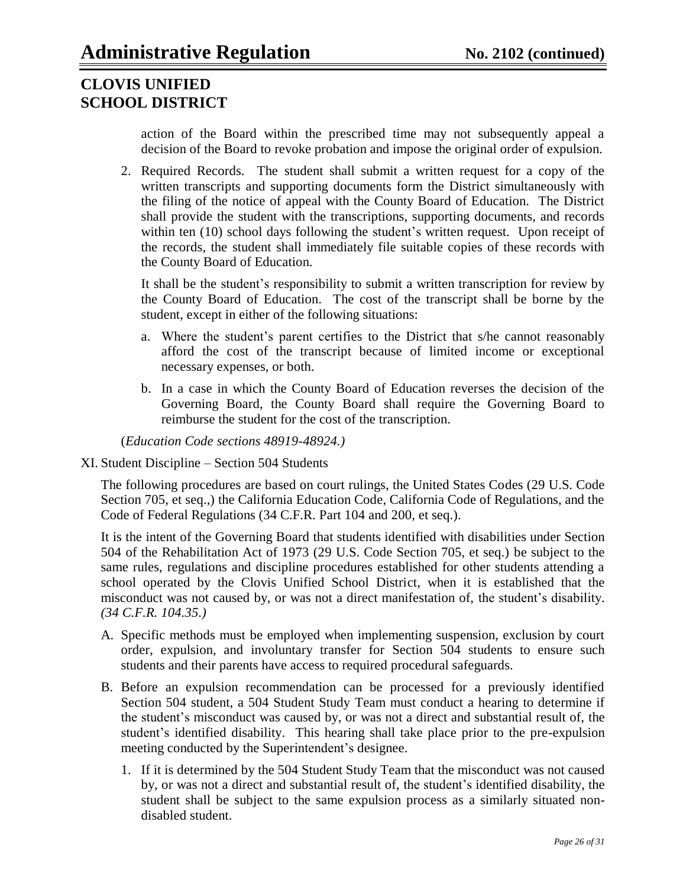action of the Board within the prescribed time may not subsequently appeal a decision of the Board to revoke probation and impose the original order of expulsion.

2. Required Records. The student shall submit a written request for a copy of the written transcripts and supporting documents form the District simultaneously with the filing of the notice of appeal with the County Board of Education. The District shall provide the student with the transcriptions, supporting documents, and records within ten (10) school days following the student's written request. Upon receipt of the records, the student shall immediately file suitable copies of these records with the County Board of Education.

It shall be the student's responsibility to submit a written transcription for review by the County Board of Education. The cost of the transcript shall be borne by the student, except in either of the following situations:

- a. Where the student"s parent certifies to the District that s/he cannot reasonably afford the cost of the transcript because of limited income or exceptional necessary expenses, or both.
- b. In a case in which the County Board of Education reverses the decision of the Governing Board, the County Board shall require the Governing Board to reimburse the student for the cost of the transcription.

(*Education Code sections 48919-48924.)*

XI. Student Discipline – Section 504 Students

The following procedures are based on court rulings, the United States Codes (29 U.S. Code Section 705, et seq.,) the California Education Code, California Code of Regulations, and the Code of Federal Regulations (34 C.F.R. Part 104 and 200, et seq.).

It is the intent of the Governing Board that students identified with disabilities under Section 504 of the Rehabilitation Act of 1973 (29 U.S. Code Section 705, et seq.) be subject to the same rules, regulations and discipline procedures established for other students attending a school operated by the Clovis Unified School District, when it is established that the misconduct was not caused by, or was not a direct manifestation of, the student"s disability. *(34 C.F.R. 104.35.)*

- A. Specific methods must be employed when implementing suspension, exclusion by court order, expulsion, and involuntary transfer for Section 504 students to ensure such students and their parents have access to required procedural safeguards.
- B. Before an expulsion recommendation can be processed for a previously identified Section 504 student, a 504 Student Study Team must conduct a hearing to determine if the student"s misconduct was caused by, or was not a direct and substantial result of, the student's identified disability. This hearing shall take place prior to the pre-expulsion meeting conducted by the Superintendent's designee.
	- 1. If it is determined by the 504 Student Study Team that the misconduct was not caused by, or was not a direct and substantial result of, the student"s identified disability, the student shall be subject to the same expulsion process as a similarly situated nondisabled student.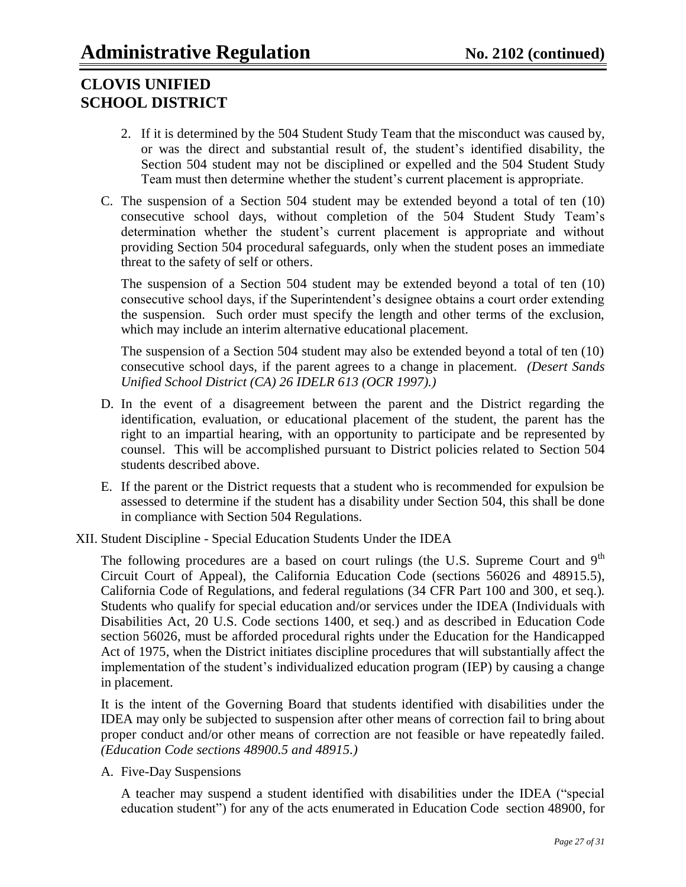- 2. If it is determined by the 504 Student Study Team that the misconduct was caused by, or was the direct and substantial result of, the student"s identified disability, the Section 504 student may not be disciplined or expelled and the 504 Student Study Team must then determine whether the student"s current placement is appropriate.
- C. The suspension of a Section 504 student may be extended beyond a total of ten (10) consecutive school days, without completion of the 504 Student Study Team"s determination whether the student's current placement is appropriate and without providing Section 504 procedural safeguards, only when the student poses an immediate threat to the safety of self or others.

The suspension of a Section 504 student may be extended beyond a total of ten (10) consecutive school days, if the Superintendent"s designee obtains a court order extending the suspension. Such order must specify the length and other terms of the exclusion, which may include an interim alternative educational placement.

The suspension of a Section 504 student may also be extended beyond a total of ten (10) consecutive school days, if the parent agrees to a change in placement. *(Desert Sands Unified School District (CA) 26 IDELR 613 (OCR 1997).)*

- D. In the event of a disagreement between the parent and the District regarding the identification, evaluation, or educational placement of the student, the parent has the right to an impartial hearing, with an opportunity to participate and be represented by counsel. This will be accomplished pursuant to District policies related to Section 504 students described above.
- E. If the parent or the District requests that a student who is recommended for expulsion be assessed to determine if the student has a disability under Section 504, this shall be done in compliance with Section 504 Regulations.
- XII. Student Discipline Special Education Students Under the IDEA

The following procedures are a based on court rulings (the U.S. Supreme Court and  $9<sup>th</sup>$ Circuit Court of Appeal), the California Education Code (sections 56026 and 48915.5), California Code of Regulations, and federal regulations (34 CFR Part 100 and 300, et seq.)*.* Students who qualify for special education and/or services under the IDEA (Individuals with Disabilities Act, 20 U.S. Code sections 1400, et seq.) and as described in Education Code section 56026, must be afforded procedural rights under the Education for the Handicapped Act of 1975, when the District initiates discipline procedures that will substantially affect the implementation of the student"s individualized education program (IEP) by causing a change in placement.

It is the intent of the Governing Board that students identified with disabilities under the IDEA may only be subjected to suspension after other means of correction fail to bring about proper conduct and/or other means of correction are not feasible or have repeatedly failed. *(Education Code sections 48900.5 and 48915.)*

A. Five-Day Suspensions

A teacher may suspend a student identified with disabilities under the IDEA ("special education student") for any of the acts enumerated in Education Code section 48900, for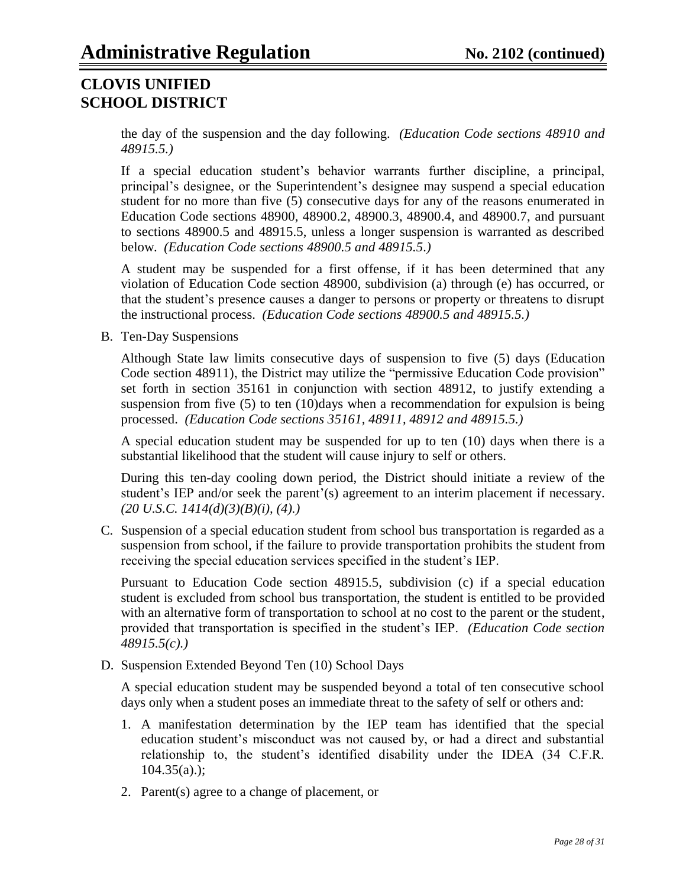the day of the suspension and the day following. *(Education Code sections 48910 and 48915.5.)*

If a special education student"s behavior warrants further discipline, a principal, principal"s designee, or the Superintendent"s designee may suspend a special education student for no more than five (5) consecutive days for any of the reasons enumerated in Education Code sections 48900, 48900.2, 48900.3, 48900.4, and 48900.7, and pursuant to sections 48900.5 and 48915.5, unless a longer suspension is warranted as described below. *(Education Code sections 48900.5 and 48915.5.)*

A student may be suspended for a first offense, if it has been determined that any violation of Education Code section 48900, subdivision (a) through (e) has occurred, or that the student"s presence causes a danger to persons or property or threatens to disrupt the instructional process. *(Education Code sections 48900.5 and 48915.5.)*

B. Ten-Day Suspensions

Although State law limits consecutive days of suspension to five (5) days (Education Code section 48911), the District may utilize the "permissive Education Code provision" set forth in section 35161 in conjunction with section 48912, to justify extending a suspension from five (5) to ten (10)days when a recommendation for expulsion is being processed. *(Education Code sections 35161, 48911, 48912 and 48915.5.)*

A special education student may be suspended for up to ten (10) days when there is a substantial likelihood that the student will cause injury to self or others.

During this ten-day cooling down period, the District should initiate a review of the student's IEP and/or seek the parent'(s) agreement to an interim placement if necessary. *(20 U.S.C. 1414(d)(3)(B)(i), (4).)*

C. Suspension of a special education student from school bus transportation is regarded as a suspension from school, if the failure to provide transportation prohibits the student from receiving the special education services specified in the student"s IEP.

Pursuant to Education Code section 48915.5, subdivision (c) if a special education student is excluded from school bus transportation, the student is entitled to be provided with an alternative form of transportation to school at no cost to the parent or the student, provided that transportation is specified in the student"s IEP. *(Education Code section 48915.5(c).)*

D. Suspension Extended Beyond Ten (10) School Days

A special education student may be suspended beyond a total of ten consecutive school days only when a student poses an immediate threat to the safety of self or others and:

- 1. A manifestation determination by the IEP team has identified that the special education student"s misconduct was not caused by, or had a direct and substantial relationship to, the student's identified disability under the IDEA (34 C.F.R.  $104.35(a)$ .);
- 2. Parent(s) agree to a change of placement, or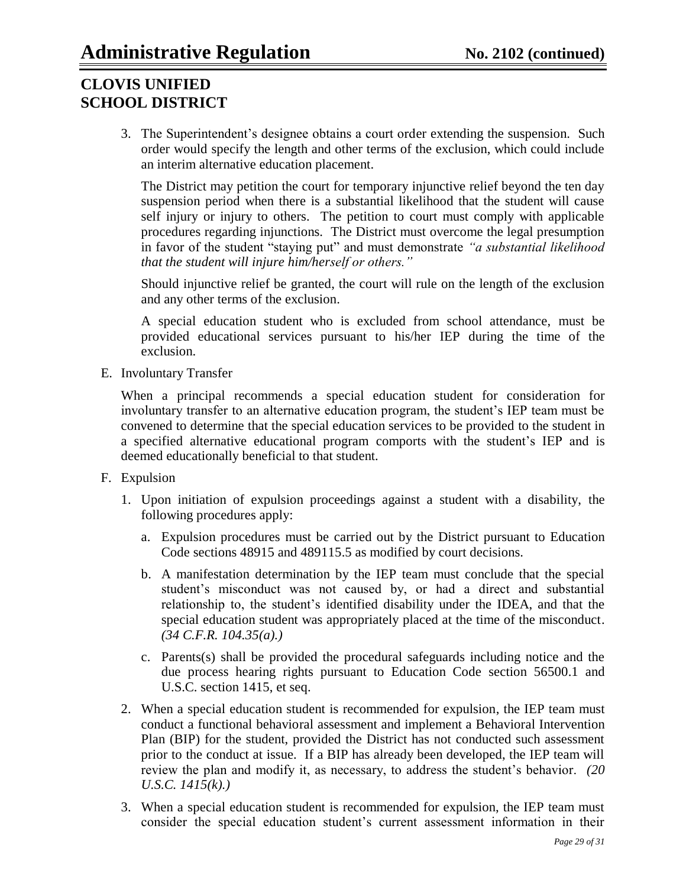3. The Superintendent"s designee obtains a court order extending the suspension. Such order would specify the length and other terms of the exclusion, which could include an interim alternative education placement.

The District may petition the court for temporary injunctive relief beyond the ten day suspension period when there is a substantial likelihood that the student will cause self injury or injury to others. The petition to court must comply with applicable procedures regarding injunctions. The District must overcome the legal presumption in favor of the student "staying put" and must demonstrate *"a substantial likelihood that the student will injure him/herself or others."*

Should injunctive relief be granted, the court will rule on the length of the exclusion and any other terms of the exclusion.

A special education student who is excluded from school attendance, must be provided educational services pursuant to his/her IEP during the time of the exclusion.

E. Involuntary Transfer

When a principal recommends a special education student for consideration for involuntary transfer to an alternative education program, the student"s IEP team must be convened to determine that the special education services to be provided to the student in a specified alternative educational program comports with the student"s IEP and is deemed educationally beneficial to that student.

- F. Expulsion
	- 1. Upon initiation of expulsion proceedings against a student with a disability, the following procedures apply:
		- a. Expulsion procedures must be carried out by the District pursuant to Education Code sections 48915 and 489115.5 as modified by court decisions.
		- b. A manifestation determination by the IEP team must conclude that the special student"s misconduct was not caused by, or had a direct and substantial relationship to, the student"s identified disability under the IDEA, and that the special education student was appropriately placed at the time of the misconduct. *(34 C.F.R. 104.35(a).)*
		- c. Parents(s) shall be provided the procedural safeguards including notice and the due process hearing rights pursuant to Education Code section 56500.1 and U.S.C. section 1415, et seq.
	- 2. When a special education student is recommended for expulsion, the IEP team must conduct a functional behavioral assessment and implement a Behavioral Intervention Plan (BIP) for the student, provided the District has not conducted such assessment prior to the conduct at issue. If a BIP has already been developed, the IEP team will review the plan and modify it, as necessary, to address the student"s behavior. *(20 U.S.C. 1415(k).)*
	- 3. When a special education student is recommended for expulsion, the IEP team must consider the special education student"s current assessment information in their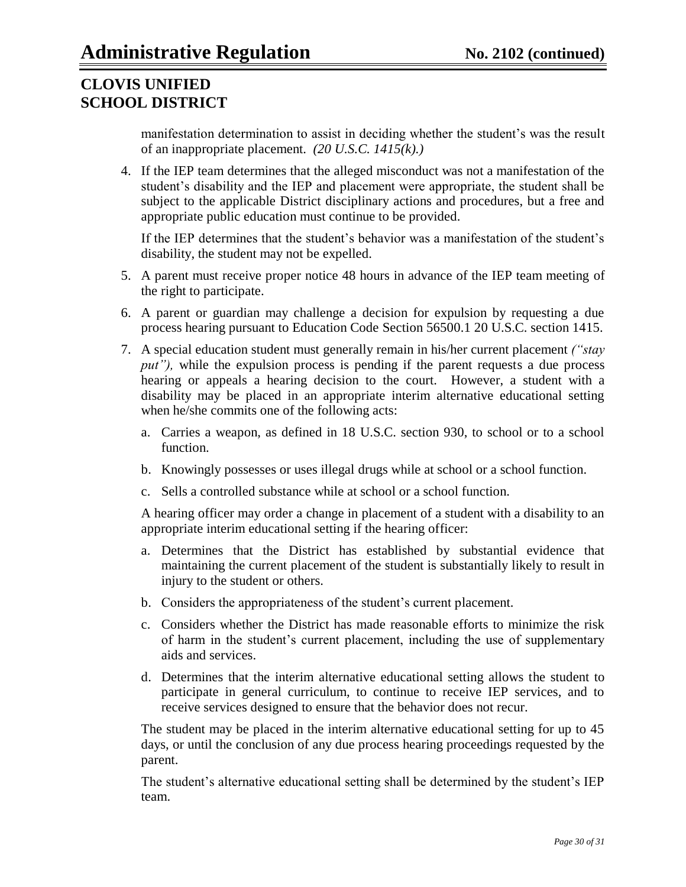manifestation determination to assist in deciding whether the student's was the result of an inappropriate placement. *(20 U.S.C. 1415(k).)*

4. If the IEP team determines that the alleged misconduct was not a manifestation of the student"s disability and the IEP and placement were appropriate, the student shall be subject to the applicable District disciplinary actions and procedures, but a free and appropriate public education must continue to be provided.

If the IEP determines that the student's behavior was a manifestation of the student's disability, the student may not be expelled.

- 5. A parent must receive proper notice 48 hours in advance of the IEP team meeting of the right to participate.
- 6. A parent or guardian may challenge a decision for expulsion by requesting a due process hearing pursuant to Education Code Section 56500.1 20 U.S.C. section 1415.
- 7. A special education student must generally remain in his/her current placement *("stay put"*), while the expulsion process is pending if the parent requests a due process hearing or appeals a hearing decision to the court. However, a student with a disability may be placed in an appropriate interim alternative educational setting when he/she commits one of the following acts:
	- a. Carries a weapon, as defined in 18 U.S.C. section 930, to school or to a school function.
	- b. Knowingly possesses or uses illegal drugs while at school or a school function.
	- c. Sells a controlled substance while at school or a school function.

A hearing officer may order a change in placement of a student with a disability to an appropriate interim educational setting if the hearing officer:

- a. Determines that the District has established by substantial evidence that maintaining the current placement of the student is substantially likely to result in injury to the student or others.
- b. Considers the appropriateness of the student"s current placement.
- c. Considers whether the District has made reasonable efforts to minimize the risk of harm in the student"s current placement, including the use of supplementary aids and services.
- d. Determines that the interim alternative educational setting allows the student to participate in general curriculum, to continue to receive IEP services, and to receive services designed to ensure that the behavior does not recur.

The student may be placed in the interim alternative educational setting for up to 45 days, or until the conclusion of any due process hearing proceedings requested by the parent.

The student's alternative educational setting shall be determined by the student's IEP team.